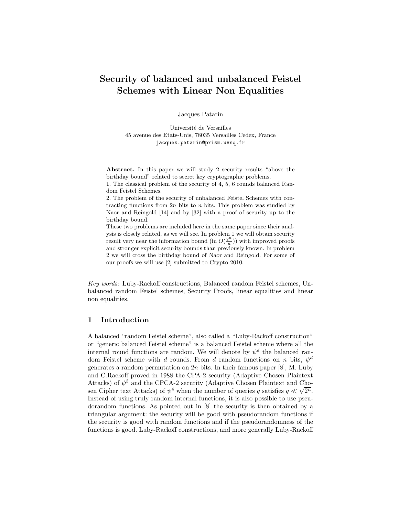# Security of balanced and unbalanced Feistel Schemes with Linear Non Equalities

Jacques Patarin

Université de Versailles 45 avenue des Etats-Unis, 78035 Versailles Cedex, France jacques.patarin@prism.uvsq.fr

Abstract. In this paper we will study 2 security results "above the birthday bound" related to secret key cryptographic problems.

1. The classical problem of the security of 4, 5, 6 rounds balanced Random Feistel Schemes.

2. The problem of the security of unbalanced Feistel Schemes with contracting functions from  $2n$  bits to n bits. This problem was studied by Naor and Reingold [14] and by [32] with a proof of security up to the birthday bound.

These two problems are included here in the same paper since their analysis is closely related, as we will see. In problem 1 we will obtain security result very near the information bound (in  $O(\frac{2^n}{n})$  $\frac{p^n}{n}$ ) with improved proofs and stronger explicit security bounds than previously known. In problem 2 we will cross the birthday bound of Naor and Reingold. For some of our proofs we will use [2] submitted to Crypto 2010.

Key words: Luby-Rackoff constructions, Balanced random Feistel schemes, Unbalanced random Feistel schemes, Security Proofs, linear equalities and linear non equalities.

### 1 Introduction

A balanced "random Feistel scheme", also called a "Luby-Rackoff construction" or "generic balanced Feistel scheme" is a balanced Feistel scheme where all the internal round functions are random. We will denote by  $\psi^d$  the balanced random Feistel scheme with d rounds. From d random functions on n bits,  $\psi^d$ generates a random permutation on  $2n$  bits. In their famous paper [8], M. Luby and C.Rackoff proved in 1988 the CPA-2 security (Adaptive Chosen Plaintext Attacks) of  $\psi^3$  and the CPCA-2 security (Adaptive Chosen Plaintext and Chosen Cipher text Attacks) of  $\psi^4$  when the number of queries q satisfies  $q \ll \sqrt{2^n}$ . Instead of using truly random internal functions, it is also possible to use pseudorandom functions. As pointed out in [8] the security is then obtained by a triangular argument: the security will be good with pseudorandom functions if the security is good with random functions and if the pseudorandomness of the functions is good. Luby-Rackoff constructions, and more generally Luby-Rackoff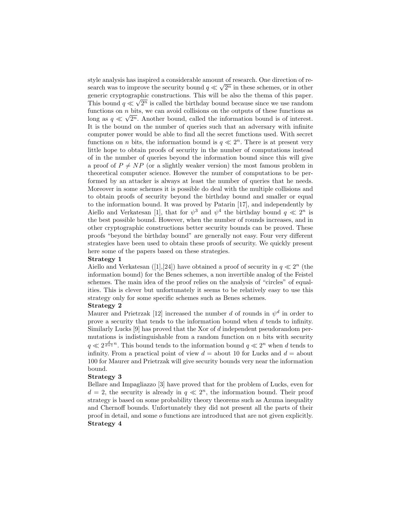style analysis has inspired a considerable amount of research. One direction of research was to improve the security bound  $q \ll \sqrt{2^n}$  in these schemes, or in other generic cryptographic constructions. This will be also the thema of this paper. This bound  $q \ll \sqrt{2^n}$  is called the birthday bound because since we use random functions on  $n$  bits, we can avoid collisions on the outputs of these functions as long as  $q \ll \sqrt{2^n}$ . Another bound, called the information bound is of interest. It is the bound on the number of queries such that an adversary with infinite computer power would be able to find all the secret functions used. With secret functions on *n* bits, the information bound is  $q \ll 2^n$ . There is at present very little hope to obtain proofs of security in the number of computations instead of in the number of queries beyond the information bound since this will give a proof of  $P \neq NP$  (or a slightly weaker version) the most famous problem in theoretical computer science. However the number of computations to be performed by an attacker is always at least the number of queries that he needs. Moreover in some schemes it is possible do deal with the multiple collisions and to obtain proofs of security beyond the birthday bound and smaller or equal to the information bound. It was proved by Patarin [17], and independently by Aiello and Verkatesan [1], that for  $\psi^3$  and  $\psi^4$  the birthday bound  $q \ll 2^n$  is the best possible bound. However, when the number of rounds increases, and in other cryptographic constructions better security bounds can be proved. These proofs "beyond the birthday bound" are generally not easy. Four very different strategies have been used to obtain these proofs of security. We quickly present here some of the papers based on these strategies.

#### Strategy 1

Aiello and Verkatesan ([1],[24]) have obtained a proof of security in  $q \ll 2^n$  (the information bound) for the Benes schemes, a non invertible analog of the Feistel schemes. The main idea of the proof relies on the analysis of "circles" of equalities. This is clever but unfortunately it seems to be relatively easy to use this strategy only for some specific schemes such as Benes schemes.

#### Strategy 2

Maurer and Prietrzak [12] increased the number d of rounds in  $\psi^d$  in order to prove a security that tends to the information bound when d tends to infinity. Similarly Lucks [9] has proved that the Xor of d independent pseudorandom permutations is indistinguishable from a random function on  $n$  bits with security  $q \ll 2^{\frac{d}{d+1}n}$ . This bound tends to the information bound  $q \ll 2^n$  when d tends to infinity. From a practical point of view  $d =$  about 10 for Lucks and  $d =$  about 100 for Maurer and Prietrzak will give security bounds very near the information bound.

#### Strategy 3

Bellare and Impagliazzo [3] have proved that for the problem of Lucks, even for  $d = 2$ , the security is already in  $q \ll 2<sup>n</sup>$ , the information bound. Their proof strategy is based on some probability theory theorems such as Azuma inequality and Chernoff bounds. Unfortunately they did not present all the parts of their proof in detail, and some o functions are introduced that are not given explicitly. Strategy 4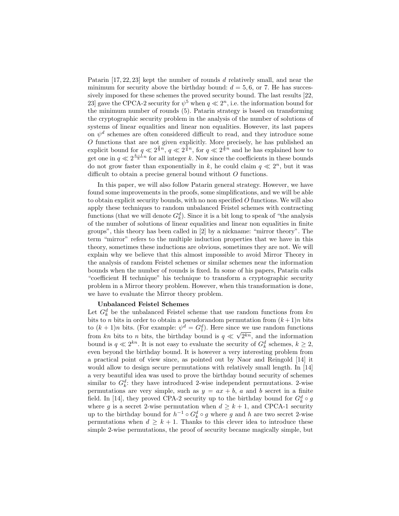Patarin [17, 22, 23] kept the number of rounds d relatively small, and near the minimum for security above the birthday bound:  $d = 5, 6$ , or 7. He has successively imposed for these schemes the proved security bound. The last results [22, 23 gave the CPCA-2 security for  $\psi^5$  when  $q \ll 2^n$ , i.e. the information bound for the minimum number of rounds (5). Patarin strategy is based on transforming the cryptographic security problem in the analysis of the number of solutions of systems of linear equalities and linear non equalities. However, its last papers on  $\psi^d$  schemes are often considered difficult to read, and they introduce some O functions that are not given explicitly. More precisely, he has published an explicit bound for  $q \ll 2^{\frac{2}{3}n}$ ,  $q \ll 2^{\frac{3}{4}n}$ , for  $q \ll 2^{\frac{4}{5}n}$  and he has explained how to get one in  $q \ll 2^{\frac{k-1}{k}n}$  for all integer k. Now since the coefficients in these bounds do not grow faster than exponentially in k, he could claim  $q \ll 2^n$ , but it was difficult to obtain a precise general bound without O functions.

In this paper, we will also follow Patarin general strategy. However, we have found some improvements in the proofs, some simplifications, and we will be able to obtain explicit security bounds, with no non specified  $O$  functions. We will also apply these techniques to random unbalanced Feistel schemes with contracting functions (that we will denote  $G_k^d$ ). Since it is a bit long to speak of "the analysis of the number of solutions of linear equalities and linear non equalities in finite groups", this theory has been called in [2] by a nickname: "mirror theory". The term "mirror" refers to the multiple induction properties that we have in this theory, sometimes these inductions are obvious, sometimes they are not. We will explain why we believe that this almost impossible to avoid Mirror Theory in the analysis of random Feistel schemes or similar schemes near the information bounds when the number of rounds is fixed. In some of his papers, Patarin calls "coefficient H technique" his technique to transform a cryptographic security problem in a Mirror theory problem. However, when this transformation is done, we have to evaluate the Mirror theory problem.

#### Unbalanced Feistel Schemes

Let  $G_k^d$  be the unbalanced Feistel scheme that use random functions from  $kn$ bits to *n* bits in order to obtain a pseudorandom permutation from  $(k+1)n$  bits to  $(k+1)n$  bits. (For example:  $\psi^d = G_1^d$ ). Here since we use random functions from kn bits to n bits, the birthday bound is  $q \ll \sqrt{2^{kn}}$ , and the information bound is  $q \ll 2^{kn}$ . It is not easy to evaluate the security of  $G_k^d$  schemes,  $k \geq 2$ , even beyond the birthday bound. It is however a very interesting problem from a practical point of view since, as pointed out by Naor and Reingold [14] it would allow to design secure permutations with relatively small length. In [14] a very beautiful idea was used to prove the birthday bound security of schemes similar to  $G_k^d$ : they have introduced 2-wise independent permutations. 2-wise permutations are very simple, such as  $y = ax + b$ , a and b secret in a finite field. In [14], they proved CPA-2 security up to the birthday bound for  $G_k^d \circ g$ where g is a secret 2-wise permutation when  $d \geq k+1$ , and CPCA-1 security up to the birthday bound for  $h^{-1} \circ G_k^d \circ g$  where g and h are two secret 2-wise permutations when  $d \geq k+1$ . Thanks to this clever idea to introduce these simple 2-wise permutations, the proof of security became magically simple, but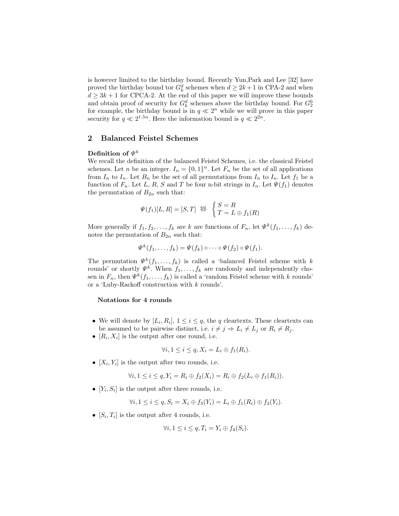is however limited to the birthday bound. Recently Yun,Park and Lee [32] have proved the birthday bound tor  $G_k^d$  schemes when  $d \geq 2k+1$  in CPA-2 and when  $d \geq 3k + 1$  for CPCA-2. At the end of this paper we will improve these bounds and obtain proof of security for  $G_k^d$  schemes above the birthday bound. For  $G_2^6$ for example, the birthday bound is in  $q \ll 2^n$  while we will prove in this paper security for  $q \ll 2^{1.5n}$ . Here the information bound is  $q \ll 2^{2n}$ .

## 2 Balanced Feistel Schemes

## Definition of  $\varPsi^k$

We recall the definition of the balanced Feistel Schemes, i.e. the classical Feistel schemes. Let *n* be an integer.  $I_n = \{0,1\}^n$ . Let  $F_n$  be the set of all applications from  $I_n$  to  $I_n$ . Let  $B_n$  be the set of all permutations from  $I_n$  to  $I_n$ . Let  $f_1$  be a function of  $F_n$ . Let L, R, S and T be four n-bit strings in  $I_n$ . Let  $\Psi(f_1)$  denotes the permutation of  $B_{2n}$  such that:

$$
\Psi(f_1)[L,R] = [S,T] \stackrel{\text{def}}{\Leftrightarrow} \begin{cases} S = R \\ T = L \oplus f_1(R) \end{cases}
$$

More generally if  $f_1, f_2, \ldots, f_k$  are k are functions of  $F_n$ , let  $\Psi^k(f_1, \ldots, f_k)$  denotes the permutation of  $B_{2n}$  such that:

$$
\Psi^k(f_1,\ldots,f_k)=\Psi(f_k)\circ\cdots\circ\Psi(f_2)\circ\Psi(f_1).
$$

The permutation  $\Psi^k(f_1,\ldots,f_k)$  is called a 'balanced Feistel scheme with k rounds' or shortly  $\Psi^k$ . When  $f_1, \ldots, f_k$  are randomly and independently chosen in  $F_n$ , then  $\Psi^k(f_1,\ldots,f_k)$  is called a 'random Feistel scheme with k rounds' or a 'Luby-Rackoff construction with k rounds'.

#### Notations for 4 rounds

- We will denote by  $[L_i, R_i], 1 \leq i \leq q$ , the q cleartexts. These cleartexts can be assumed to be pairwise distinct, i.e.  $i \neq j \Rightarrow L_i \neq L_j$  or  $R_i \neq R_j$ .
- $[R_i, X_i]$  is the output after one round, i.e.

$$
\forall i, 1 \leq i \leq q, X_i = L_i \oplus f_1(R_i).
$$

•  $[X_i, Y_i]$  is the output after two rounds, i.e.

$$
\forall i, 1 \leq i \leq q, Y_i = R_i \oplus f_2(X_i) = R_i \oplus f_2(L_i \oplus f_1(R_i)).
$$

•  $[Y_i, S_i]$  is the output after three rounds, i.e.

$$
\forall i, 1 \leq i \leq q, S_i = X_i \oplus f_3(Y_i) = L_i \oplus f_1(R_i) \oplus f_3(Y_i).
$$

•  $[S_i, T_i]$  is the output after 4 rounds, i.e.

$$
\forall i, 1 \leq i \leq q, T_i = Y_i \oplus f_4(S_i).
$$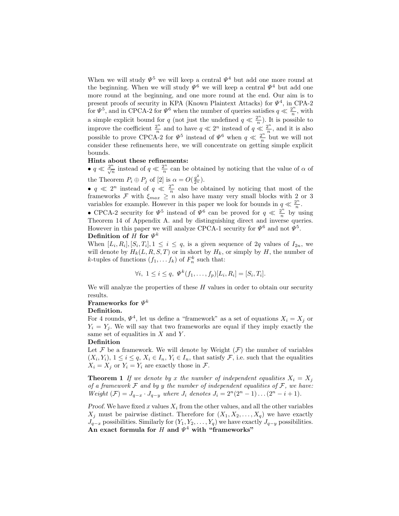When we will study  $\Psi^5$  we will keep a central  $\Psi^4$  but add one more round at the beginning. When we will study  $\Psi^6$  we will keep a central  $\Psi^4$  but add one more round at the beginning, and one more round at the end. Our aim is to present proofs of security in KPA (Known Plaintext Attacks) for  $\Psi^4$ , in CPA-2 for  $\Psi^5$ , and in CPCA-2 for  $\Psi^6$  when the number of queries satisfies  $q \ll \frac{2^n}{n}$  $\frac{2^n}{n}$ , with a simple explicit bound for q (not just the undefined  $q \ll \frac{2^n}{n}$  $\frac{2^n}{n}$ ). It is possible to improve the coefficient  $\frac{2^n}{n}$  $\frac{2^n}{n}$  and to have  $q \ll 2^n$  instead of  $q \ll \frac{2^n}{n}$  $\frac{2^n}{n}$ , and it is also possible to prove CPCA-2 for  $\Psi^5$  instead of  $\Psi^6$  when  $q \ll \frac{2^n}{n}$  $\frac{2^n}{n}$  but we will not consider these refinements here, we will concentrate on getting simple explicit bounds.

#### Hints about these refinements:

•  $q \ll \frac{2^n}{\sqrt{n}}$  instead of  $q \ll \frac{2^n}{n}$  $\frac{\partial^n}{\partial n}$  can be obtained by noticing that the value of  $\alpha$  of the Theorem  $P_i \oplus P_j$  of [2] is  $\alpha = O(\frac{q^2}{2^n})$ .

•  $q \ll 2^n$  instead of  $q \ll \frac{2^n}{n}$  $\frac{2^n}{n}$  can be obtained by noticing that most of the frameworks F with  $\xi_{max} \geq n$  also have many very small blocks with 2 or 3 variables for example. However in this paper we look for bounds in  $q \ll \frac{2^n}{n}$  $\frac{2^n}{n}$ .

• CPCA-2 security for  $\Psi^5$  instead of  $\Psi^6$  can be proved for  $q \ll \frac{2^n}{n}$  $\frac{2^n}{n}$  by using Theorem 14 of Appendix A. and by distinguishing direct and inverse queries. However in this paper we will analyze CPCA-1 security for  $\Psi^6$  and not  $\Psi^5$ . Definition of  $H$  for  $\varPsi^k$ 

When  $[L_i, R_i], [S_i, T_i], 1 \leq i \leq q$ , is a given sequence of 2q values of  $I_{2n}$ , we will denote by  $H_k(L, R, S, T)$  or in short by  $H_k$ , or simply by H, the number of k-tuples of functions  $(f_1, \ldots, f_k)$  of  $F_n^k$  such that:

$$
\forall i, \ 1 \leq i \leq q, \ \Psi^k(f_1, \dots, f_p)[L_i, R_i] = [S_i, T_i].
$$

We will analyze the properties of these  $H$  values in order to obtain our security results.

## Frameworks for  $\varPsi^k$

#### Definition.

For 4 rounds,  $\Psi^4$ , let us define a "framework" as a set of equations  $X_i = X_j$  or  $Y_i = Y_i$ . We will say that two frameworks are equal if they imply exactly the same set of equalities in  $X$  and  $Y$ .

#### Definition

Let  $\mathcal F$  be a framework. We will denote by Weight  $(\mathcal F)$  the number of variables  $(X_i, Y_i)$ ,  $1 \leq i \leq q$ ,  $X_i \in I_n$ ,  $Y_i \in I_n$ , that satisfy F, i.e. such that the equalities  $X_i = X_j$  or  $Y_i = Y_i$  are exactly those in  $\mathcal{F}$ .

**Theorem 1** If we denote by x the number of independent equalities  $X_i = X_j$ of a framework  $\mathcal F$  and by y the number of independent equalities of  $\mathcal F$ , we have: Weight  $(\mathcal{F}) = J_{q-x} \cdot J_{q-y}$  where  $J_i$  denotes  $J_i = 2^n(2^n - 1) \dots (2^n - i + 1)$ .

Proof. We have fixed x values  $X_i$  from the other values, and all the other variables  $X_j$  must be pairwise distinct. Therefore for  $(X_1, X_2, \ldots, X_q)$  we have exactly  $J_{q-x}$  possibilities. Similarly for  $(Y_1, Y_2, \ldots, Y_q)$  we have exactly  $J_{q-y}$  possibilities. An exact formula for  $H$  and  $\Psi^4$  with "frameworks"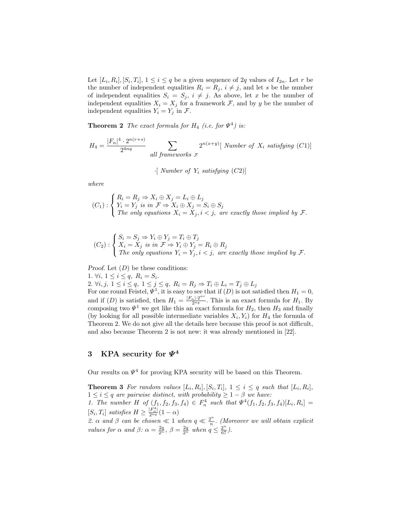Let  $[L_i, R_i], [S_i, T_i], 1 \leq i \leq q$  be a given sequence of 2q values of  $I_{2n}$ . Let r be the number of independent equalities  $R_i = R_j$ ,  $i \neq j$ , and let s be the number of independent equalities  $S_i = S_j$ ,  $i \neq j$ . As above, let x be the number of independent equalities  $X_i = X_j$  for a framework  $\mathcal{F}$ , and by y be the number of independent equalities  $Y_i = Y_j$  in  $\mathcal{F}$ .

**Theorem 2** The exact formula for  $H_4$  (i.e. for  $\Psi^4$ ) is:

$$
H_4 = \frac{|F_n|^4 \cdot 2^{n(r+s)}}{2^{4nq}} \sum_{\text{all frameworks } \mathcal{F}} 2^{n(x+y)} \left[ \text{ Number of } X_i \text{ satisfying (C1)} \right]
$$

 $\lceil$  Number of  $Y_i$  satisfying  $(C2)$ ]

where

$$
(C_1): \begin{cases} R_i = R_j \Rightarrow X_i \oplus X_j = L_i \oplus L_j \\ Y_i = Y_j \text{ is in } \mathcal{F} \Rightarrow X_i \oplus X_j = S_i \oplus S_j \\ \text{The only equations } X_i = X_j, i < j, \text{ are exactly those implied by } \mathcal{F}. \end{cases}
$$

$$
(C_2): \begin{cases} S_i = S_j \Rightarrow Y_i \oplus Y_j = T_i \oplus T_j \\ X_i = X_j \text{ is in } \mathcal{F} \Rightarrow Y_i \oplus Y_j = R_i \oplus R_j \\ \text{The only equations } Y_i = Y_j, i < j, \text{ are exactly those implied by } \mathcal{F}. \end{cases}
$$

*Proof.* Let  $(D)$  be these conditions: 1.  $\forall i, 1 \leq i \leq q, R_i = S_i.$ 2.  $\forall i, j, 1 \leq i \leq q$ ,  $1 \leq j \leq q$ ,  $R_i = R_j \Rightarrow T_i \oplus L_i = T_j \oplus L_j$ For one round Feistel,  $\Psi^1$ , it is easy to see that if  $(D)$  is not satisfied then  $H_1 = 0$ , and if (D) is satisfied, then  $H_1 = \frac{|F_n| \cdot 2^{nr}}{2^{nq}}$ . This is an exact formula for  $H_1$ . By composing two  $\Psi^1$  we get like this an exact formula for  $H_2$ , then  $H_3$  and finally (by looking for all possible intermediate variables  $X_i, Y_i$ ) for  $H_4$  the formula of Theorem 2. We do not give all the details here because this proof is not difficult, and also because Theorem 2 is not new: it was already mentioned in [22].

## 3 KPA security for  $\Psi^4$

Our results on  $\Psi^4$  for proving KPA security will be based on this Theorem.

**Theorem 3** For random values  $[L_i, R_i], [S_i, T_i], 1 \leq i \leq q$  such that  $[L_i, R_i],$  $1 \leq i \leq q$  are pairwise distinct, with probability  $\geq 1 - \beta$  we have: 1. The number H of  $(f_1, f_2, f_3, f_4) \in F_n^4$  such that  $\Psi^4(f_1, f_2, f_3, f_4)[L_i, R_i] =$  $[S_i, T_i]$  satisfies  $H \geq \frac{|F_n^4|}{2^{nq}}(1-\alpha)$ 

2.  $\alpha$  and  $\beta$  can be chosen  $\ll 1$  when  $q \ll \frac{2^n}{n}$  $\frac{2^n}{n}$ . (Moreover we will obtain explicit values for  $\alpha$  and  $\beta$ :  $\alpha = \frac{2q}{2^n}$ ,  $\beta = \frac{2q}{2^n}$  when  $q \leq \frac{2^n}{67}$ .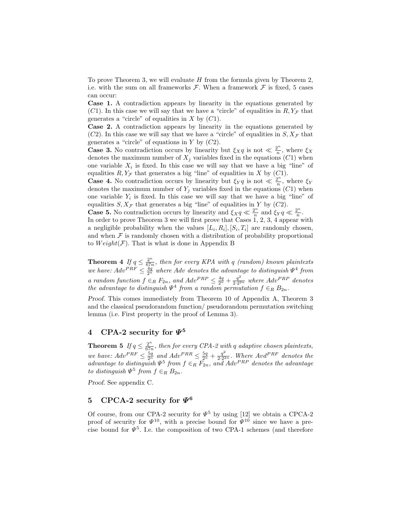To prove Theorem 3, we will evaluate H from the formula given by Theorem 2, i.e. with the sum on all frameworks  $\mathcal F$ . When a framework  $\mathcal F$  is fixed, 5 cases can occur:

Case 1. A contradiction appears by linearity in the equations generated by (C1). In this case we will say that we have a "circle" of equalities in  $R, Y_{\mathcal{F}}$  that generates a "circle" of equalities in  $X$  by  $(C1)$ .

Case 2. A contradiction appears by linearity in the equations generated by  $(C2)$ . In this case we will say that we have a "circle" of equalities in  $S, X_{\mathcal{F}}$  that generates a "circle" of equations in  $Y$  by  $(C2)$ .

**Case 3.** No contradiction occurs by linearity but  $\xi_{X}q$  is not  $\ll \frac{2^n}{n}$  $\frac{2^n}{n}$ , where  $\xi_X$ denotes the maximum number of  $X_j$  variables fixed in the equations  $(C1)$  when one variable  $X_i$  is fixed. In this case we will say that we have a big "line" of equalities  $R, Y_{\mathcal{F}}$  that generates a big "line" of equalities in X by (C1).

**Case 4.** No contradiction occurs by linearity but  $\xi_{Y}q$  is not  $\ll \frac{2^{n}}{n}$  $\frac{2^n}{n}$ , where  $\xi_Y$ denotes the maximum number of  $Y_j$  variables fixed in the equations  $(C1)$  when one variable  $Y_i$  is fixed. In this case we will say that we have a big "line" of equalities  $S, X_{\mathcal{F}}$  that generates a big "line" of equalities in Y by  $(C2)$ .

**Case 5.** No contradiction occurs by linearity and  $\xi_{X}q \ll \frac{2^n}{n}$  $\frac{2^n}{n}$  and  $\zeta_Y q \ll \frac{2^n}{n}$  $\frac{2^n}{n}$ .

In order to prove Theorem 3 we will first prove that Cases 1, 2, 3, 4 appear with a negligible probability when the values  $[L_i, R_i], [S_i, T_i]$  are randomly chosen, and when  $\mathcal F$  is randomly chosen with a distribution of probability proportional to  $Weight(\mathcal{F})$ . That is what is done in Appendix B

Theorem 4 If  $q \leq \frac{2^n}{67n}$  $\frac{2^n}{67n}$ , then for every KPA with q (random) known plaintexts we have:  $Adv^{PRF} \leq \frac{4q}{2^n}$  where Adv denotes the advantage to distinguish  $\Psi^4$  from a random function  $f \in_R F_{2n}$ , and  $Adv^{PRP} \leq \frac{4q}{2^n} + \frac{q^2}{2 \cdot 2^2}$  $\frac{q^2}{2\cdot 2^{2n}}$  where  $Adv^{PRP}$  denotes the advantage to distinguish  $\Psi^4$  from a random permutation  $f \in_R B_{2n}$ .

Proof. This comes immediately from Theorem 10 of Appendix A, Theorem 3 and the classical pseudorandom function/ pseudorandom permutation switching lemma (i.e. First property in the proof of Lemma 3).

## 4 CPA-2 security for  $\Psi^5$

Theorem 5 If  $q \leq \frac{2^n}{67n}$  $\frac{2^n}{67n}$ , then for every CPA-2 with q adaptive chosen plaintexts, we have:  $Adv^{PRF} \leq \frac{5q}{2^n}$  and  $Adv^{PRR} \leq \frac{5q}{2^n} + \frac{q^2}{2 \cdot 2^2}$  $\frac{q^2}{2\cdot 2^{2n}}$ . Where  $Avd^{PRF}$  denotes the advantage to distinguish  $\Psi^5$  from  $f \in_R \overline{F}_{2n}$ , and  $Adv^{PRP}$  denotes the advantage to distinguish  $\Psi^5$  from  $f \in_R B_{2n}$ .

Proof. See appendix C.

## 5 CPCA-2 security for  $\Psi^6$

Of course, from our CPA-2 security for  $\Psi^5$  by using [12] we obtain a CPCA-2 proof of security for  $\Psi^{10}$ , with a precise bound for  $\Psi^{10}$  since we have a precise bound for  $\Psi^5$ . I.e. the composition of two CPA-1 schemes (and therefore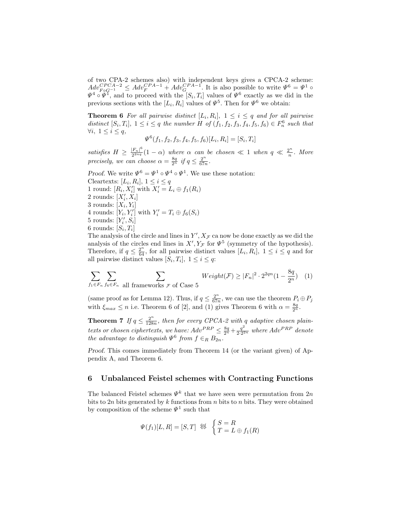of two CPA-2 schemes also) with independent keys gives a CPCA-2 scheme:  $Adv_{F \circ G^{-1}}^{CPCA-2} \le Adv_{F}^{CPA-1} + Adv_{G}^{CPA-1}$ . It is also possible to write  $\Psi^{6} = \Psi^{1} \circ$  $\Psi^4 \circ \Psi^I$ , and to proceed with the  $[S_i, T_i]$  values of  $\Psi^6$  exactly as we did in the previous sections with the  $[L_i, R_i]$  values of  $\Psi^5$ . Then for  $\Psi^6$  we obtain:

**Theorem 6** For all pairwise distinct  $[L_i, R_i]$ ,  $1 \leq i \leq q$  and for all pairwise distinct  $[S_i, T_i]$ ,  $1 \leq i \leq q$  the number H of  $(f_1, f_2, f_3, f_4, f_5, f_6) \in F_n^6$  such that  $∀i, 1 ≤ i ≤ q,$ 

$$
\Psi^{6}(f_1, f_2, f_3, f_4, f_5, f_6)[L_i, R_i] = [S_i, T_i]
$$

satisfies  $H \geq \frac{|F_n|^6}{2^{2nq}}$  $\frac{|F_n|^6}{2^{2nq}}(1-\alpha)$  where  $\alpha$  can be chosen  $\ll 1$  when  $q \ll \frac{2^n}{n}$  $\frac{2^n}{n}$ . More precisely, we can choose  $\alpha = \frac{8q}{2^n}$  if  $q \leq \frac{2^n}{67n}$  $\frac{2^n}{67n}$ .

Proof. We write  $\Psi^6 = \Psi^1 \circ \Psi^4 \circ \Psi^1$ . We use these notation:

Cleartexts:  $[L_i, R_i], 1 \leq i \leq q$ 1 round:  $[R_i, X'_i]$  with  $X'_i = L_i \oplus f_1(R_i)$ 2 rounds:  $[X'_i, X_i]$ 3 rounds:  $[X_i, Y_i]$ 4 rounds:  $[Y_i, Y'_i]$  with  $Y'_i = T_i \oplus f_6(S_i)$ 5 rounds:  $[Y'_i, S_i]$ 6 rounds:  $[S_i, T_i]$ 

The analysis of the circle and lines in  $Y', X_{\mathcal{F}}$  ca now be done exactly as we did the analysis of the circles end lines in  $X', Y_{\mathcal{F}}$  for  $\Psi^5$  (symmetry of the hypothesis). Therefore, if  $q \leq \frac{2^n}{64}$ , for all pairwise distinct values  $[L_i, R_i]$ ,  $1 \leq i \leq q$  and for all pairwise distinct values  $[S_i, T_i], 1 \leq i \leq q$ :

$$
\sum_{f_1 \in F_n} \sum_{f_6 \in F_n} \sum_{\text{all frameworks } \mathcal{F} \text{ of Case 5}} Weight(\mathcal{F}) \ge |F_n|^2 \cdot 2^{2qn} (1 - \frac{8q}{2^n}) \quad (1)
$$

(same proof as for Lemma 12). Thus, if  $q \n\t\leq \frac{2^n}{67n}$  $\frac{2^n}{67n}$ , we can use the theorem  $P_i \oplus P_j$ with  $\xi_{max} \le n$  i.e. Theorem 6 of [2], and (1) gives Theorem 6 with  $\alpha = \frac{8q}{2^n}$ .

Theorem 7 If  $q \leq \frac{2^n}{128}$  $\frac{2^{n}}{128n}$ , then for every CPCA-2 with q adaptive chosen plaintexts or chosen ciphertexts, we have:  $Adv^{PRP} \leq \frac{8q}{2^n} + \frac{q^2}{2 \cdot 2^2}$  $\frac{q^2}{2\cdot 2^{2n}}$  where  $Adv^{PRP}$  denote the advantage to distinguish  $\Psi^6$  from  $f \in_R B_{2n}$ .

Proof. This comes immediately from Theorem 14 (or the variant given) of Appendix A, and Theorem 6.

### 6 Unbalanced Feistel schemes with Contracting Functions

The balanced Feistel schemes  $\Psi^k$  that we have seen were permutation from  $2n$ bits to  $2n$  bits generated by k functions from n bits to n bits. They were obtained by composition of the scheme  $\Psi^1$  such that

$$
\Psi(f_1)[L,R] = [S,T] \stackrel{\text{def}}{\Leftrightarrow} \begin{cases} S = R \\ T = L \oplus f_1(R) \end{cases}
$$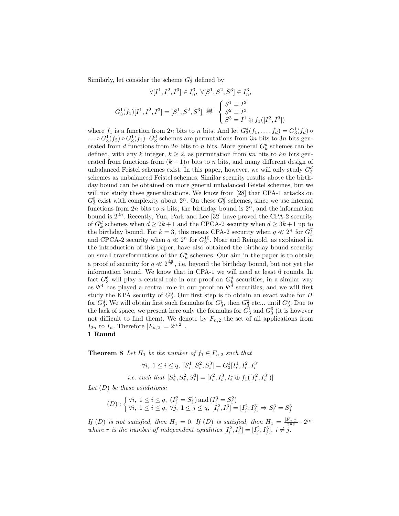Similarly, let consider the scheme  $G_3^1$  defined by

$$
\forall [I^1, I^2, I^3] \in I_n^3, \ \forall [S^1, S^2, S^3] \in I_n^3,
$$
  

$$
G_3^1(f_1)[I^1, I^2, I^3] = [S^1, S^2, S^3] \stackrel{\text{def}}{\Leftrightarrow} \begin{cases} S^1 = I^2\\ S^2 = I^3\\ S^3 = I^1 \oplus f_1([I^2, I^3]) \end{cases}
$$

where  $f_1$  is a function from  $2n$  bits to n bits. And let  $G_3^d(f_1, \ldots, f_d) = G_3^1(f_d) \circ$  $\ldots \circ G_3^1(f_2) \circ G_3^1(f_1)$ .  $G_3^d$  schemes are permutations from 3n bits to 3n bits generated from d functions from  $2n$  bits to n bits. More general  $G_k^d$  schemes can be defined, with any k integer,  $k \geq 2$ , as permutation from kn bits to kn bits generated from functions from  $(k-1)n$  bits to n bits, and many different design of unbalanced Feistel schemes exist. In this paper, however, we will only study  $G_3^d$ schemes as unbalanced Feistel schemes. Similar security results above the birthday bound can be obtained on more general unbalanced Feistel schemes, but we will not study these generalizations. We know from [28] that CPA-1 attacks on  $G_3^5$  exist with complexity about  $2^n$ . On these  $G_3^d$  schemes, since we use internal functions from  $2n$  bits to n bits, the birthday bound is  $2<sup>n</sup>$ , and the information bound is  $2^{2n}$ . Recently, Yun, Park and Lee [32] have proved the CPA-2 security of  $G_k^d$  schemes when  $d \geq 2k+1$  and the CPCA-2 security when  $d \geq 3k+1$  up to the birthday bound. For  $k = 3$ , this means CPA-2 security when  $q \ll 2^n$  for  $G_3^7$ and CPCA-2 security when  $q \ll 2^n$  for  $G_3^{10}$ . Noar and Reingold, as explained in the introduction of this paper, have also obtained the birthday bound security on small transformations of the  $G_k^d$  schemes. Our aim in the paper is to obtain a proof of security for  $q \ll 2^{\frac{3n}{2}}$ , i.e. beyond the birthday bound, but not yet the information bound. We know that in CPA-1 we will need at least 6 rounds. In fact  $G_3^6$  will play a central role in our proof on  $G_k^d$  securities, in a similar way as  $\Psi^4$  has played a central role in our proof on  $\Psi^d$  securities, and we will first study the KPA security of  $G_3^6$ . Our first step is to obtain an exact value for H for  $G_3^d$ . We will obtain first such formulas for  $G_3^1$ , then  $G_3^2$  etc... until  $G_3^6$ . Due to the lack of space, we present here only the formulas for  $G_3^1$  and  $G_3^6$  (it is however not difficult to find them). We denote by  $F_{n,2}$  the set of all applications from  $I_{2n}$  to  $I_n$ . Therefore  $|F_{n,2}| = 2^{n.2^n}$ . 1 Round

**Theorem 8** Let  $H_1$  be the number of  $f_1 \in F_{n,2}$  such that

 $\forall i, 1 \leq i \leq q, [S_i^1, S_i^2, S_i^3] = G_3^1[I_i^1, I_i^2, I_i^3]$ *i.e.* such that  $[S_i^1, S_i^2, S_i^3] = [I_i^2, I_i^3, I_i^1 \oplus f_1([I_i^2, I_i^3])]$ 

Let  $(D)$  be these conditions:

$$
(D): \begin{cases} \forall i, \ 1 \leq i \leq q, \ (I_i^2 = S_i^1) \text{ and } (I_i^3 = S_i^2) \\ \forall i, \ 1 \leq i \leq q, \ \forall j, \ 1 \leq j \leq q, \ [I_i^2, I_i^3] = [I_j^2, I_j^3] \Rightarrow S_i^3 = S_j^3 \end{cases}
$$

If (D) is not satisfied, then  $H_1 = 0$ . If (D) is satisfied, then  $H_1 = \frac{|F_{n,2}|}{2^{nq}} \cdot 2^{nr}$ where r is the number of independent equalities  $[I_i^2, I_i^3] = [I_j^2, I_j^3], i \neq \overline{j}.$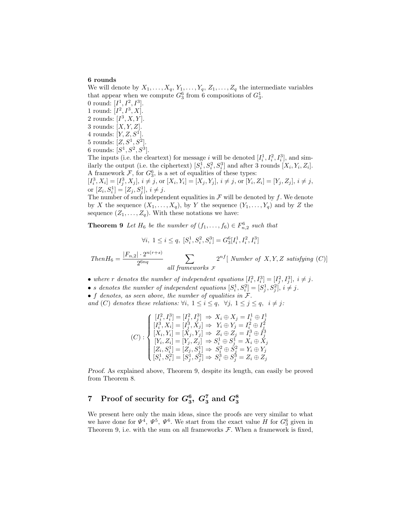#### 6 rounds

We will denote by  $X_1, \ldots, X_q, Y_1, \ldots, Y_q, Z_1, \ldots, Z_q$  the intermediate variables that appear when we compute  $G_3^6$  from 6 compositions of  $G_3^1$ .

- 0 round:  $[I^1, I^2, I^3]$ . 1 round:  $[I^2, I^3, X]$ . 2 rounds:  $[I^3, X, Y]$ . 3 rounds:  $[X, Y, Z]$ . 4 rounds:  $[Y, Z, S^1]$ . 5 rounds:  $[Z, S^1, S^2]$ .
- 6 rounds:  $[S^1, S^2, S^3]$ .

The inputs (i.e. the cleartext) for message i will be denoted  $[I_i^1, I_i^2, I_i^3]$ , and similarly the output (i.e. the ciphertext)  $[S_i^1, S_i^2, S_i^3]$  and after 3 rounds  $[X_i, Y_i, Z_i]$ . A framework  $\mathcal{F}$ , for  $G_3^6$ , is a set of equalities of these types:

 $[I_i^3, X_i] = [I_j^3, X_j], i \neq j$ , or  $[X_i, Y_i] = [X_j, Y_j], i \neq j$ , or  $[Y_i, Z_i] = [Y_j, Z_j], i \neq j$ , or  $[Z_i, S_i^1] = [Z_j, S_j^1], i \neq j.$ 

The number of such independent equalities in  $\mathcal F$  will be denoted by f. We denote by X the sequence  $(X_1, \ldots, X_q)$ , by Y the sequence  $(Y_1, \ldots, Y_q)$  and by Z the sequence  $(Z_1, \ldots, Z_q)$ . With these notations we have:

**Theorem 9** Let  $H_6$  be the number of  $(f_1, \ldots, f_6) \in F_{n,2}^6$  such that

$$
\forall i, 1 \leq i \leq q, [S_i^1, S_i^2, S_i^3] = G_3^6[I_i^1, I_i^2, I_i^3]
$$

 $Then H_6 = \frac{|F_{n,2}| \cdot 2^{n(r+s)}}{2^{6ns}}$  $\frac{1 \cdot 2^{n(1)}\cdot 2^{6nq}}{2^{6nq}}$   $\sum$ all frameworks <sup>F</sup>  $2^{nf}$  [*Number of X,Y,Z satisfying (C)*]

- where r denotes the number of independent equations  $[I_i^2, I_i^3] = [I_j^2, I_j^3], i \neq j$ .
- s denotes the number of independent equations  $[S_i^1, S_i^2] = [S_j^1, S_j^2], i \neq j$ .
- f denotes, as seen above, the number of equalities in  $\mathcal{F}.$
- and (C) denotes these relations:  $\forall i, 1 \leq i \leq q, \forall j, 1 \leq j \leq q, i \neq j$ :

$$
(C): \begin{cases} [I_i^2, I_i^3] = [I_j^2, I_j^3] \Rightarrow X_i \oplus X_j = I_i^1 \oplus I_j^1 \\ [I_i^3, X_i] = [I_j^3, X_j] \Rightarrow Y_i \oplus Y_j = I_i^2 \oplus I_j^2 \\ [X_i, Y_i] = [X_j, Y_j] \Rightarrow Z_i \oplus Z_j = I_i^3 \oplus I_j^3 \\ [Y_i, Z_i] = [Y_j, Z_j] \Rightarrow S_i^1 \oplus S_j^1 = X_i \oplus X_j \\ [Z_i, S_i^1] = [Z_j, S_j^1] \Rightarrow S_i^2 \oplus S_j^2 = Y_i \oplus Y_j \\ [S_i^1, S_i^2] = [S_j^1, S_j^2] \Rightarrow S_i^3 \oplus S_j^3 = Z_i \oplus Z_j \end{cases}
$$

Proof. As explained above, Theorem 9, despite its length, can easily be proved from Theorem 8.

# $7\quad$  Proof of security for  $G_3^6,\ G_3^7\ \text{and}\ G_3^8$

We present here only the main ideas, since the proofs are very similar to what we have done for  $\Psi^4$ ,  $\Psi^5$ ,  $\Psi^6$ . We start from the exact value H for  $G_3^6$  given in Theorem 9, i.e. with the sum on all frameworks  $\mathcal F$ . When a framework is fixed,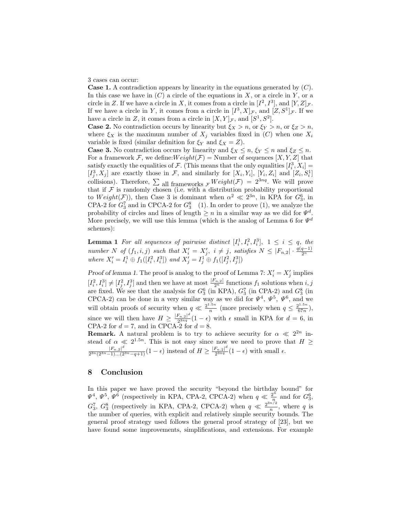3 cases can occur:

**Case 1.** A contradiction appears by linearity in the equations generated by  $(C)$ . In this case we have in  $(C)$  a circle of the equations in X, or a circle in Y, or a circle in Z. If we have a circle in X, it comes from a circle in  $[I^2, I^3]$ , and  $[Y, Z]_{\mathcal{F}}$ . If we have a circle in Y, it comes from a circle in  $[I^3, X]_{\mathcal{F}}$ , and  $[Z, S^1]_{\mathcal{F}}$ . If we have a circle in Z, it comes from a circle in  $[X, Y]_{\mathcal{F}}$ , and  $[S^1, S^2]$ .

**Case 2.** No contradiction occurs by linearity but  $\xi_X > n$ , or  $\xi_Y > n$ , or  $\xi_Z > n$ , where  $\xi_X$  is the maximum number of  $X_i$  variables fixed in  $(C)$  when one  $X_i$ variable is fixed (similar definition for  $\xi_Y$  and  $\xi_X = Z$ ).

**Case 3.** No contradiction occurs by linearity and  $\xi_X \le n$ ,  $\xi_Y \le n$  and  $\xi_Z \le n$ . For a framework F, we define:  $Weight(F) =$  Number of sequences  $[X, Y, Z]$  that satisfy exactly the equalities of  $\mathcal{F}$ . (This means that the only equalities  $[I_i^3, X_i] =$  $[I_j^3, X_j]$  are exactly those in F, and similarly for  $[X_i, Y_i]$ ,  $[Y_i, Z_i]$  and  $[Z_i, S_i^1]$ collisions). Therefore,  $\sum$  all frameworks  $\mathcal{F} Weight(\mathcal{F}) = 2^{3nq}$ . We will prove that if  $\mathcal F$  is randomly chosen (i.e. with a distribution probability proportional to  $Weight(\mathcal{F})$ , then Case 3 is dominant when  $\alpha^2 \ll 2^{3n}$ , in KPA for  $G_3^6$ , in CPA-2 for  $G_3^7$  and in CPCA-2 for  $G_3^8$  (1). In order to prove (1), we analyze the probability of circles and lines of length  $\geq n$  in a similar way as we did for  $\Psi^d$ . More precisely, we will use this lemma (which is the analog of Lemma 6 for  $\Psi^d$ schemes):

**Lemma 1** For all sequences of pairwise distinct  $[I_i^1, I_i^2, I_i^3], 1 \le i \le q$ , the number N of  $(f_1, i, j)$  such that  $X'_i = X'_j$ ,  $i \neq j$ , satisfies  $N \leq |F_{n,2}| \cdot \frac{q(q-1)}{2^n}$ <br>where  $X'_i = I_i^1 \oplus f_1([I_i^2, I_i^3])$  and  $X'_j = I_j^1 \oplus f_1([I_j^2, I_j^3])$ 

Proof of lemma 1. The proof is analog to the proof of Lemma 7:  $X_i' = X_j'$  implies j  $[I_i^2, I_i^3] \neq [I_j^2, I_j^3]$  and then we have at most  $\frac{|F_{n,2}|}{2^n}$  functions  $f_1$  solutions when  $i, j$ are fixed. We see that the analysis for  $G_3^6$  (in KPA),  $G_3^7$  (in CPA-2) and  $G_3^8$  (in CPCA-2) can be done in a very similar way as we did for  $\Psi^4$ ,  $\Psi^5$ ,  $\Psi^6$ , and we will obtain proofs of security when  $q \ll \frac{2^{1.5n}}{n}$ <sup>5n</sup> (more precisely when  $q \leq \frac{2^{1.5n}}{67n}$  $\frac{2^{1.5n}}{67n},$ since we will then have  $H \geq \frac{|F_{n,2}|^d}{2^{3nq}}$  $\frac{F_{n,2}}{2^{3nq}}(1-\epsilon)$  with  $\epsilon$  small in KPA for  $d=6$ , in CPA-2 for  $d = 7$ , and in CPCA-2 for  $d = 8$ .

**Remark.** A natural problem is to try to achieve security for  $\alpha \ll 2^{2n}$  instead of  $\alpha \ll 2^{1.5n}$ . This is not easy since now we need to prove that  $H \geq$  $|F_{n,2}|^d$  $\frac{|F_{n,2}|^d}{2^{3n}(2^{3n}-1)...(2^{3n}-q+1)}(1-\epsilon)$  instead of  $H \ge \frac{|F_{n,2}|^d}{2^{3n}q}$  $\frac{r_{n,2}}{2^{3nq}}(1-\epsilon)$  with small  $\epsilon$ .

## 8 Conclusion

In this paper we have proved the security "beyond the birthday bound" for  $\Psi^4, \Psi^5, \Psi^6$  (respectively in KPA, CPA-2, CPCA-2) when  $q \ll \frac{2^n}{n}$  $\frac{2^n}{n}$  and for  $G_3^6$ ,  $G_3^7$ ,  $G_3^8$  (respectively in KPA, CPA-2, CPCA-2) when  $q \ll \frac{2^{3n/2}}{n}$  $\frac{n}{n}$ , where q is the number of queries, with explicit and relatively simple security bounds. The general proof strategy used follows the general proof strategy of [23], but we have found some improvements, simplifications, and extensions. For example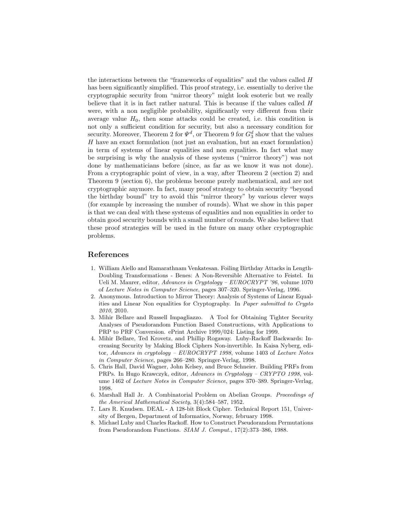the interactions between the "frameworks of equalities" and the values called H has been significantly simplified. This proof strategy, i.e. essentially to derive the cryptographic security from "mirror theory" might look esoteric but we really believe that it is in fact rather natural. This is because if the values called H were, with a non negligible probability, significantly very different from their average value  $H_0$ , then some attacks could be created, i.e. this condition is not only a sufficient condition for security, but also a necessary condition for security. Moreover, Theorem 2 for  $\Psi^d$ , or Theorem 9 for  $G_3^d$  show that the values H have an exact formulation (not just an evaluation, but an exact formulation) in term of systems of linear equalities and non equalities. In fact what may be surprising is why the analysis of these systems ("mirror theory") was not done by mathematicians before (since, as far as we know it was not done). From a cryptographic point of view, in a way, after Theorem 2 (section 2) and Theorem 9 (section 6), the problems become purely mathematical, and are not cryptographic anymore. In fact, many proof strategy to obtain security "beyond the birthday bound" try to avoid this "mirror theory" by various clever ways (for example by increasing the number of rounds). What we show in this paper is that we can deal with these systems of equalities and non equalities in order to obtain good security bounds with a small number of rounds. We also believe that these proof strategies will be used in the future on many other cryptographic problems.

## References

- 1. William Aiello and Ramarathnam Venkatesan. Foiling Birthday Attacks in Length-Doubling Transformations - Benes: A Non-Reversible Alternative to Feistel. In Ueli M. Maurer, editor, Advances in Cryptology – EUROCRYPT '96, volume 1070 of Lecture Notes in Computer Science, pages 307–320. Springer-Verlag, 1996.
- 2. Anonymous. Introduction to Mirror Theory: Analysis of Systems of Linear Equalities and Linear Non equalities for Cryptography. In Paper submitted to Crypto 2010, 2010.
- 3. Mihir Bellare and Russell Impagliazzo. A Tool for Obtaining Tighter Security Analyses of Pseudorandom Function Based Constructions, with Applications to PRP to PRF Conversion. ePrint Archive 1999/024: Listing for 1999.
- 4. Mihir Bellare, Ted Krovetz, and Phillip Rogaway. Luby-Rackoff Backwards: Increasing Security by Making Block Ciphers Non-invertible. In Kaisa Nyberg, editor, Advances in cryptology – EUROCRYPT 1998, volume 1403 of Lecture Notes in Computer Science, pages 266–280. Springer-Verlag, 1998.
- 5. Chris Hall, David Wagner, John Kelsey, and Bruce Schneier. Building PRFs from PRPs. In Hugo Krawczyk, editor, Advances in Cryptology – CRYPTO 1998, volume 1462 of Lecture Notes in Computer Science, pages 370–389. Springer-Verlag, 1998.
- 6. Marshall Hall Jr. A Combinatorial Problem on Abelian Groups. Proceedings of the Americal Mathematical Society, 3(4):584–587, 1952.
- 7. Lars R. Knudsen. DEAL A 128-bit Block Cipher. Technical Report 151, University of Bergen, Department of Informatics, Norway, february 1998.
- 8. Michael Luby and Charles Rackoff. How to Construct Pseudorandom Permutations from Pseudorandom Functions. SIAM J. Comput., 17(2):373–386, 1988.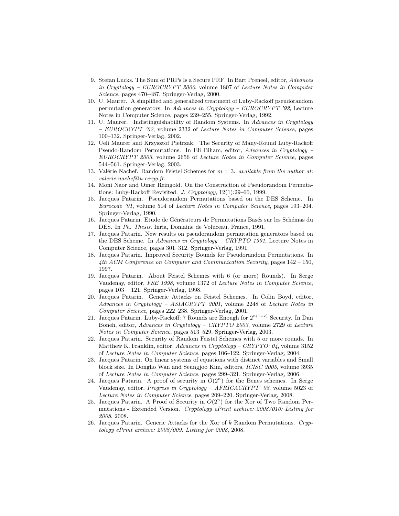- 9. Stefan Lucks. The Sum of PRPs Is a Secure PRF. In Bart Preneel, editor, Advances in Cryptology – EUROCRYPT 2000, volume 1807 of Lecture Notes in Computer Science, pages 470–487. Springer-Verlag, 2000.
- 10. U. Maurer. A simplified and generalized treatment of Luby-Rackoff pseudorandom permutation generators. In Advances in Cryptology – EUROCRYPT '92, Lecture Notes in Computer Science, pages 239–255. Springer-Verlag, 1992.
- 11. U. Maurer. Indistinguishability of Random Systems. In Advances in Cryptology – EUROCRYPT '02, volume 2332 of Lecture Notes in Computer Science, pages 100–132. Springer-Verlag, 2002.
- 12. Ueli Maurer and Krzysztof Pietrzak. The Security of Many-Round Luby-Rackoff Pseudo-Random Permutations. In Eli Biham, editor, Advances in Cryptology – EUROCRYPT 2003, volume 2656 of Lecture Notes in Computer Science, pages 544–561. Springer-Verlag, 2003.
- 13. Valérie Nachef. Random Feistel Schemes for  $m = 3$ . available from the author at: valerie.nachef@u-cergy.fr.
- 14. Moni Naor and Omer Reingold. On the Construction of Pseudorandom Permutations: Luby-Rackoff Revisited. J. Cryptology, 12(1):29–66, 1999.
- 15. Jacques Patarin. Pseudorandom Permutations based on the DES Scheme. In Eurocode '91, volume 514 of Lecture Notes in Computer Science, pages 193–204. Springer-Verlag, 1990.
- 16. Jacques Patarin. Etude de Générateurs de Permutations Basés sur les Schémas du DES. In Ph. Thesis. Inria, Domaine de Voluceau, France, 1991.
- 17. Jacques Patarin. New results on pseudorandom permutation generators based on the DES Scheme. In Advances in Cryptology – CRYPTO 1991, Lecture Notes in Computer Science, pages 301–312. Springer-Verlag, 1991.
- 18. Jacques Patarin. Improved Security Bounds for Pseudorandom Permutations. In 4th ACM Conference on Computer and Communication Security, pages 142 – 150, 1997.
- 19. Jacques Patarin. About Feistel Schemes with 6 (or more) Rounds). In Serge Vaudenay, editor, FSE 1998, volume 1372 of Lecture Notes in Computer Science, pages 103 – 121. Springer-Verlag, 1998.
- 20. Jacques Patarin. Generic Attacks on Feistel Schemes. In Colin Boyd, editor, Advances in Cryptology – ASIACRYPT 2001, volume 2248 of Lecture Notes in Computer Science, pages 222–238. Springer-Verlag, 2001.
- 21. Jacques Patarin. Luby-Rackoff: 7 Rounds are Enough for  $2^{n(1-\epsilon)}$  Security. In Dan Boneh, editor, Advances in Cryptology – CRYPTO 2003, volume 2729 of Lecture Notes in Computer Science, pages 513–529. Springer-Verlag, 2003.
- 22. Jacques Patarin. Security of Random Feistel Schemes with 5 or more rounds. In Matthew K. Franklin, editor, Advances in Cryptology – CRYPTO' 04, volume 3152 of Lecture Notes in Computer Science, pages 106–122. Springer-Verlag, 2004.
- 23. Jacques Patarin. On linear systems of equations with distinct variables and Small block size. In Dongho Wan and Seungjoo Kim, editors, ICISC 2005, volume 3935 of Lecture Notes in Computer Science, pages 299–321. Springer-Verlag, 2006.
- 24. Jacques Patarin. A proof of security in  $O(2^n)$  for the Benes schemes. In Serge Vaudenay, editor, Progress in Cryptology – AFRICACRYPT' 08, volume 5023 of Lecture Notes in Computer Science, pages 209–220. Springer-Verlag, 2008.
- 25. Jacques Patarin. A Proof of Security in  $O(2^n)$  for the Xor of Two Random Permutations - Extended Version. Cryptology ePrint archive: 2008/010: Listing for 2008, 2008.
- 26. Jacques Patarin. Generic Attacks for the Xor of  $k$  Random Permutations. Cryptology ePrint archive: 2008/009: Listing for 2008, 2008.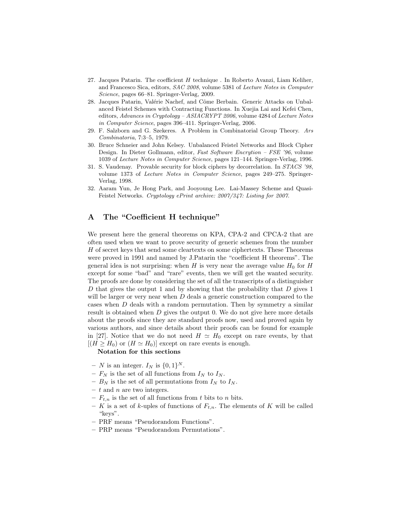- 27. Jacques Patarin. The coefficient  $H$  technique . In Roberto Avanzi, Liam Keliher, and Francesco Sica, editors, SAC 2008, volume 5381 of Lecture Notes in Computer Science, pages 66–81. Springer-Verlag, 2009.
- 28. Jacques Patarin, Valérie Nachef, and Côme Berbain. Generic Attacks on Unbalanced Feistel Schemes with Contracting Functions. In Xuejia Lai and Kefei Chen, editors, Advances in Cryptology – ASIACRYPT 2006, volume 4284 of Lecture Notes in Computer Science, pages 396–411. Springer-Verlag, 2006.
- 29. F. Salzborn and G. Szekeres. A Problem in Combinatorial Group Theory. Ars Combinatoria, 7:3–5, 1979.
- 30. Bruce Schneier and John Kelsey. Unbalanced Feistel Networks and Block Cipher Design. In Dieter Gollmann, editor, Fast Software Encrytion – FSE '96, volume 1039 of Lecture Notes in Computer Science, pages 121–144. Springer-Verlag, 1996.
- 31. S. Vaudenay. Provable security for block ciphers by decorrelation. In STACS '98, volume 1373 of Lecture Notes in Computer Science, pages 249–275. Springer-Verlag, 1998.
- 32. Aaram Yun, Je Hong Park, and Jooyoung Lee. Lai-Massey Scheme and Quasi-Feistel Networks. Cryptology ePrint archive: 2007/347: Listing for 2007.

## A The "Coefficient H technique"

We present here the general theorems on KPA, CPA-2 and CPCA-2 that are often used when we want to prove security of generic schemes from the number H of secret keys that send some cleartexts on some ciphertexts. These Theorems were proved in 1991 and named by J.Patarin the "coefficient H theorems". The general idea is not surprising: when H is very near the average value  $H_0$  for H except for some "bad" and "rare" events, then we will get the wanted security. The proofs are done by considering the set of all the transcripts of a distinguisher D that gives the output 1 and by showing that the probability that D gives 1 will be larger or very near when  $D$  deals a generic construction compared to the cases when D deals with a random permutation. Then by symmetry a similar result is obtained when D gives the output 0. We do not give here more details about the proofs since they are standard proofs now, used and proved again by various authors, and since details about their proofs can be found for example in [27]. Notice that we do not need  $H \simeq H_0$  except on rare events, by that  $[(H \geq H_0)]$  or  $(H \simeq H_0)]$  except on rare events is enough.

Notation for this sections

- N is an integer.  $I_N$  is  $\{0,1\}^N$ .
- $F_N$  is the set of all functions from  $I_N$  to  $I_N$ .
- $B_N$  is the set of all permutations from  $I_N$  to  $I_N$ .
- $t$  and n are two integers.
- $F_{t,n}$  is the set of all functions from t bits to n bits.
- K is a set of k-uples of functions of  $F_{t,n}$ . The elements of K will be called "keys".
- PRF means "Pseudorandom Functions".
- PRP means "Pseudorandom Permutations".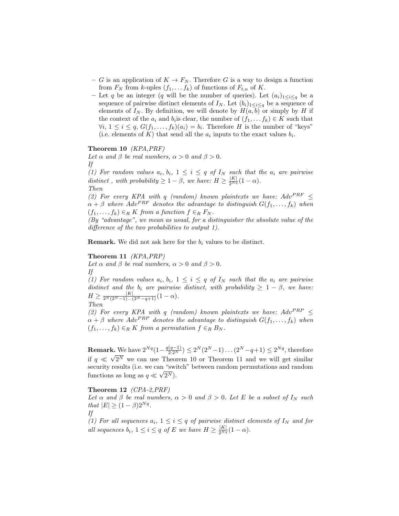- G is an application of  $K \to F_N$ . Therefore G is a way to design a function from  $F_N$  from k-uples  $(f_1, \ldots, f_k)$  of functions of  $F_{t,n}$  of K.
- Let q be an integer (q will be the number of queries). Let  $(a_i)_{1 \leq i \leq q}$  be a sequence of pairwise distinct elements of  $I_N$ . Let  $(b_i)_{1 \leq i \leq q}$  be a sequence of elements of  $I_N$ . By definition, we will denote by  $H(a, b)$  or simply by H if the context of the  $a_i$  and  $b_i$  is clear, the number of  $(f_1, \ldots, f_k) \in K$  such that  $\forall i, 1 \leq i \leq q, G(f_1, \ldots, f_k)(a_i) = b_i.$  Therefore H is the number of "keys" (i.e. elements of K) that send all the  $a_i$  inputs to the exact values  $b_i$ .

#### Theorem 10 (KPA,PRF)

Let  $\alpha$  and  $\beta$  be real numbers,  $\alpha > 0$  and  $\beta > 0$ . If

(1) For random values  $a_i, b_i, 1 \leq i \leq q$  of  $I_N$  such that the  $a_i$  are pairwise distinct, with probability  $\geq 1 - \beta$ , we have:  $H \geq \frac{|K|}{2^{Nq}}(1 - \alpha)$ . Then

(2) For every KPA with  $q$  (random) known plaintexts we have:  $Adv^{PRF}$  <  $\alpha + \beta$  where  $Adv^{PRF}$  denotes the advantage to distinguish  $G(f_1, \ldots, f_k)$  when  $(f_1, \ldots, f_k) \in_R K$  from a function  $f \in_R F_N$ .

(By "advantage", we mean as usual, for a distinguisher the absolute value of the difference of the two probabilities to output 1).

**Remark.** We did not ask here for the  $b_i$  values to be distinct.

#### Theorem 11 (KPA,PRP)

Let  $\alpha$  and  $\beta$  be real numbers,  $\alpha > 0$  and  $\beta > 0$ . If

(1) For random values  $a_i, b_i, 1 \leq i \leq q$  of  $I_N$  such that the  $a_i$  are pairwise distinct and the  $b_i$  are pairwise distinct, with probability  $\geq 1 - \beta$ , we have:  $H \geq \frac{|K|}{2^N (2^N - 1) \dots (2^N - q + 1)} (1 - \alpha).$ 

Then

(2) For every KPA with q (random) known plaintexts we have:  $Adv^{PRP}$  <  $\alpha + \beta$  where  $Adv^{PRP}$  denotes the advantage to distinguish  $G(f_1, \ldots, f_k)$  when  $(f_1, \ldots, f_k) \in_R K$  from a permutation  $f \in_R B_N$ .

**Remark.** We have  $2^{Nq}(1 - \frac{q(q-1)}{2 \cdot 2^N}) \leq 2^N(2^N - 1) \dots (2^N - q + 1) \leq 2^{Nq}$ , therefore if  $q \ll \sqrt{2^N}$  we can use Theorem 10 or Theorem 11 and we will get similar security results (i.e. we can "switch" between random permutations and random functions as long as  $q \ll \sqrt{2^N}$ .

#### Theorem 12 (CPA-2,PRF)

Let  $\alpha$  and  $\beta$  be real numbers,  $\alpha > 0$  and  $\beta > 0$ . Let E be a subset of  $I_N$  such that  $|E| \geq (1 - \beta)2^{Nq}$ .

If

(1) For all sequences  $a_i$ ,  $1 \leq i \leq q$  of pairwise distinct elements of  $I_N$  and for all sequences  $b_i$ ,  $1 \leq i \leq q$  of E we have  $H \geq \frac{|K|}{2^{Nq}}(1-\alpha)$ .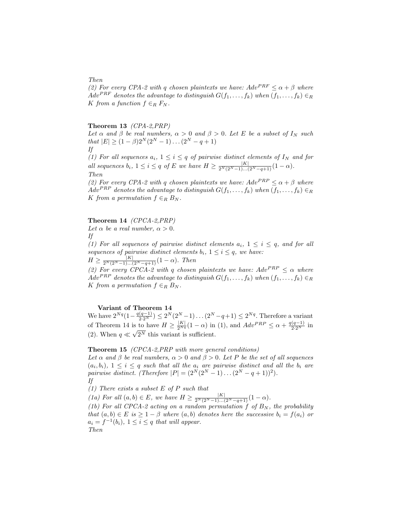(2) For every CPA-2 with q chosen plaintexts we have:  $Adv^{PRF} \le \alpha + \beta$  where Adv<sup>PRF</sup> denotes the advantage to distinguish  $G(f_1, \ldots, f_k)$  when  $(f_1, \ldots, f_k) \in_R$ K from a function  $f \in_R F_N$ .

### Theorem 13 (CPA-2,PRP)

Let  $\alpha$  and  $\beta$  be real numbers,  $\alpha > 0$  and  $\beta > 0$ . Let E be a subset of  $I_N$  such that  $|E| \ge (1 - \beta)2^N (2^N - 1) \dots (2^N - q + 1)$ If

(1) For all sequences  $a_i$ ,  $1 \leq i \leq q$  of pairwise distinct elements of  $I_N$  and for all sequences  $b_i$ ,  $1 \leq i \leq q$  of E we have  $H \geq \frac{|K|}{2^N (2^N-1)...(2^N-q+1)}(1-\alpha)$ . Then

(2) For every CPA-2 with q chosen plaintexts we have:  $Adv^{PRP} \le \alpha + \beta$  where  $Adv^{PRP}$  denotes the advantage to distinguish  $G(f_1, \ldots, f_k)$  when  $(f_1, \ldots, f_k) \in_R$ K from a permutation  $f \in_B B_N$ .

#### Theorem 14 (CPCA-2,PRP)

Let  $\alpha$  be a real number,  $\alpha > 0$ .

If

(1) For all sequences of pairwise distinct elements  $a_i$ ,  $1 \leq i \leq q$ , and for all sequences of pairwise distinct elements  $b_i$ ,  $1 \leq i \leq q$ , we have:  $H \geq \frac{|K|}{2^N (2^N - 1) \dots (2^N - q + 1)} (1 - \alpha).$  Then

(2) For every CPCA-2 with q chosen plaintexts we have:  $Adv^{PRP} \leq \alpha$  where Adv<sup>PRP</sup> denotes the advantage to distinguish  $G(f_1, \ldots, f_k)$  when  $(f_1, \ldots, f_k) \in_R$ K from a permutation  $f \in_R B_N$ .

#### Variant of Theorem 14

We have  $2^{Nq}(1-\frac{q(q-1)}{2\cdot 2^N}) \leq 2^N(2^N-1)\dots(2^N-q+1) \leq 2^{Nq}$ . Therefore a variant of Theorem 14 is to have  $H \geq \frac{|K|}{2^{Nq}}(1-\alpha)$  in (1), and  $Adv^{PRP} \leq \alpha + \frac{q(q-1)}{2 \cdot 2^{N}}$  in (2). When  $q \ll \sqrt{2^N}$  this variant is sufficient.

#### Theorem 15 (CPCA-2,PRP with more general conditions)

Let  $\alpha$  and  $\beta$  be real numbers,  $\alpha > 0$  and  $\beta > 0$ . Let P be the set of all sequences  $(a_i, b_i)$ ,  $1 \leq i \leq q$  such that all the  $a_i$  are pairwise distinct and all the  $b_i$  are pairwise distinct. (Therefore  $|P| = (2^N(2^N - 1)...(2^N - q + 1))^2$ ). If

(1) There exists a subset  $E$  of  $P$  such that

(1a) For all  $(a, b) \in E$ , we have  $H \ge \frac{|K|}{2^N (2^N - 1) \dots (2^N - q + 1)} (1 - \alpha)$ .

(1b) For all CPCA-2 acting on a random permutation  $f$  of  $B_N$ , the probability that  $(a, b) \in E$  is  $\geq 1 - \beta$  where  $(a, b)$  denotes here the successive  $b_i = f(a_i)$  or  $a_i = f^{-1}(b_i), 1 \leq i \leq q$  that will appear. Then

Then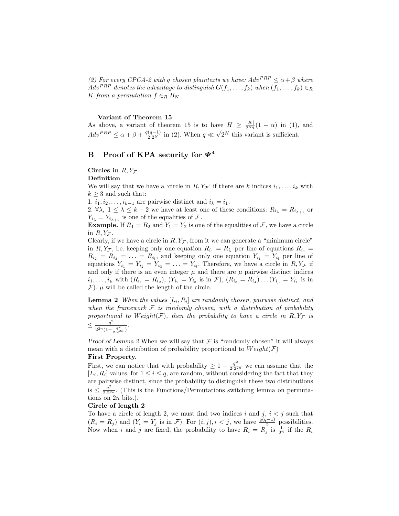(2) For every CPCA-2 with q chosen plaintexts we have:  $Adv^{PRP} \le \alpha + \beta$  where  $Adv^{PRP}$  denotes the advantage to distinguish  $G(f_1, \ldots, f_k)$  when  $(f_1, \ldots, f_k) \in_R$ K from a permutation  $f \in_R B_N$ .

#### Variant of Theorem 15

As above, a variant of theorem 15 is to have  $H \geq \frac{|K|}{2^{N_q}}(1-\alpha)$  in (1), and  $Adv^{PRP} \le \alpha + \beta + \frac{q(q-1)}{2 \cdot 2^N}$  in (2). When  $q \ll$ √  $2^N$  this variant is sufficient.

## B Proof of KPA security for  $\Psi^4$

#### Circles in  $R, Y_\mathcal{F}$

### Definition

We will say that we have a 'circle in  $R, Y_{\mathcal{F}}$ ' if there are k indices  $i_1, \ldots, i_k$  with  $k \geq 3$  and such that:

1.  $i_1, i_2, \ldots, i_{k-1}$  are pairwise distinct and  $i_k = i_1$ .

2.  $\forall \lambda, 1 \leq \lambda \leq k-2$  we have at least one of these conditions:  $R_{i_{\lambda}} = R_{i_{\lambda+1}}$  or  $Y_{i_{\lambda}} = Y_{i_{\lambda+1}}$  is one of the equalities of F.

**Example.** If  $R_1 = R_2$  and  $Y_1 = Y_2$  is one of the equalities of  $\mathcal{F}$ , we have a circle in  $R, Y_{\mathcal{F}}$ .

Clearly, if we have a circle in  $R, Y_{\mathcal{F}}$ , from it we can generate a "minimum circle" in R, Y, i.e. keeping only one equation  $R_{i_1} = R_{i_1}$  per line of equations  $R_{i_1} =$  $R_{i_2} = R_{i_3} = \ldots = R_{i_l}$ , and keeping only one equation  $Y_{i_1} = Y_{i_l}$  per line of equations  $Y_{i_1} = Y_{i_2} = Y_{i_3} = \ldots = Y_{i_l}$ . Therefore, we have a circle in  $R, Y_{\mathcal{F}}$  if and only if there is an even integer  $\mu$  and there are  $\mu$  pairwise distinct indices  $i_1, \ldots, i_\mu$  with  $(R_{i_1} = R_{i_2}), (Y_{i_2} = Y_{i_3} \text{ is in } \mathcal{F}), (R_{i_3} = R_{i_4}) \ldots (Y_{i_\mu} = Y_{i_1} \text{ is in } \mathcal{F})$  $\mathcal{F}$ ).  $\mu$  will be called the length of the circle.

**Lemma 2** When the values  $[L_i, R_i]$  are randomly chosen, pairwise distinct, and when the framework  $F$  is randomly chosen, with a distribution of probability proportional to Weight $(F)$ , then the probability to have a circle in  $R, Y_F$  is  $\leq \frac{q^2}{2a^2}$  $\frac{q^2}{2^{2n}(1-\frac{q^2}{2\cdot 2^{2n}})}$ .

Proof of Lemma 2 When we will say that  $\mathcal F$  is "randomly chosen" it will always mean with a distribution of probability proportional to  $Weight(\mathcal{F})$ 

#### First Property.

First, we can notice that with probability  $\geq 1 - \frac{q^2}{2\sigma^2}$  $\frac{q^2}{2\cdot 2^{2n}}$  we can assume that the  $[L_i, R_i]$  values, for  $1 \leq i \leq q$ , are random, without considering the fact that they are pairwise distinct, since the probability to distinguish these two distributions is  $\leq \frac{q^2}{2\cdot 2^2}$  $\frac{q^2}{2 \cdot 2^{2n}}$ . (This is the Functions/Permutations switching lemma on permutations on 2n bits.).

#### Circle of length 2

To have a circle of length 2, we must find two indices i and j,  $i < j$  such that  $(R_i = R_j)$  and  $(Y_i = Y_j$  is in  $\mathcal{F})$ . For  $(i, j), i < j$ , we have  $\frac{q(q-1)}{2}$  possibilities. Now when *i* and *j* are fixed, the probability to have  $R_i = R_j^2$  is  $\frac{1}{2^n}$  if the  $R_i$ .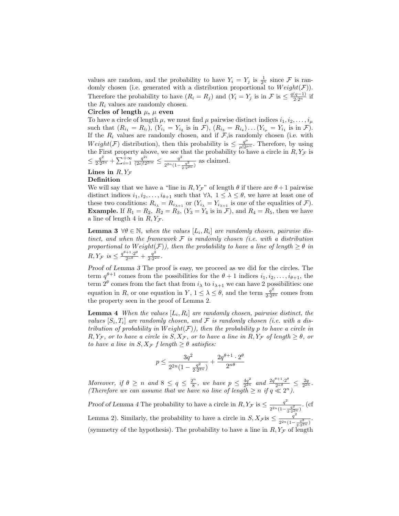values are random, and the probability to have  $Y_i = Y_j$  is  $\frac{1}{2^n}$  since  $\mathcal F$  is randomly chosen (i.e. generated with a distribution proportional to  $Weight(\mathcal{F})$ ). Therefore the probability to have  $(R_i = R_j)$  and  $(Y_i = Y_j$  is in  $\mathcal{F}$  is  $\leq \frac{q(q-1)}{2 \cdot 2^n}$  if the  $R_i$  values are randomly chosen.

#### Circles of length  $\mu$ ,  $\mu$  even

To have a circle of length  $\mu$ , we must find  $\mu$  pairwise distinct indices  $i_1, i_2, \ldots, i_\mu$ such that  $(R_{i_1} = R_{i_1}), (Y_{i_1} = Y_{i_2} \text{ is in } \mathcal{F}), (R_{i_3} = R_{i_4}) \dots (Y_{i_\mu} = Y_{i_1} \text{ is in } \mathcal{F}).$ If the  $R_i$  values are randomly chosen, and if  $\mathcal{F}$ , is randomly chosen (i.e. with Weight(F) distribution), then this probability is  $\leq \frac{q^{\mu}}{\mu!2^{\mu n}}$ . Therefore, by using the First property above, we see that the probability to have a circle in  $R, Y_{\mathcal{F}}$  is  $\leq \frac{q^2}{2.22}$  $\frac{q^2}{2\cdot 2^{2n}} + \sum_{i=1}^{+\infty} \frac{q^{2i}}{(2i)!2^{2in}} \leq \frac{q^2}{2^{2n}(1-\frac{1}{n})}$  $\sqrt{2^{2n}(1-\frac{q^2}{2\cdot 2^{2n}})}$ as claimed.

## Lines in  $R, Y_\mathcal{F}$

### Definition

We will say that we have a "line in  $R, Y_{\mathcal{F}}$ " of length  $\theta$  if there are  $\theta + 1$  pairwise distinct indices  $i_1, i_2, \ldots, i_{\theta+1}$  such that  $\forall \lambda, 1 \leq \lambda \leq \theta$ , we have at least one of these two conditions:  $R_{i_{\lambda}} = R_{i_{\lambda+1}}$  or  $(Y_{i_{\lambda}} = Y_{i_{\lambda+1}})$  is one of the equalities of  $\mathcal{F}$ ). **Example.** If  $R_1 = R_2$ ,  $R_2 = R_3$ ,  $(Y_3 = Y_4$  is in  $\mathcal{F})$ , and  $R_4 = R_5$ , then we have a line of length 4 in  $R, Y_{\mathcal{F}}$ .

**Lemma 3**  $\forall \theta \in \mathbb{N}$ , when the values  $[L_i, R_i]$  are randomly chosen, pairwise distinct, and when the framework  $\mathcal F$  is randomly chosen (i.e. with a distribution proportional to  $Weight(\mathcal{F})$ , then the probability to have a line of length  $\geq \theta$  in  $R, Y_{\mathcal{F}} \; is \leq \frac{q^{\theta+1} \cdot 2^{\theta}}{2^{n\theta}} + \frac{q^2}{2 \cdot 2^2}$  $\frac{q}{2 \cdot 2^{2n}}$ .

Proof of Lemma 3 The proof is easy, we proceed as we did for the circles. The term  $q^{\theta+1}$  comes from the possibilities for the  $\theta+1$  indices  $i_1, i_2, \ldots, i_{\theta+1}$ , the term  $2^{\theta}$  comes from the fact that from  $i_{\lambda}$  to  $i_{\lambda+1}$  we can have 2 possibilities: one equation in R, or one equation in Y,  $1 \leq \lambda \leq \theta$ , and the term  $\frac{q^2}{2\sqrt{2}}$  $\frac{q^2}{2 \cdot 2^{2n}}$  comes from the property seen in the proof of Lemma 2.

**Lemma 4** When the values  $[L_i, R_i]$  are randomly chosen, pairwise distinct, the values  $[S_i, T_i]$  are randomly chosen, and  $\mathcal F$  is randomly chosen (i.e. with a distribution of probability in  $Weight(\mathcal{F})$ , then the probability p to have a circle in  $R, Y_{\mathcal{F}}$ , or to have a circle in  $S, X_{\mathcal{F}}$ , or to have a line in  $R, Y_{\mathcal{F}}$  of length  $\geq \theta$ , or to have a line in  $S, X_{\mathcal{F}}$  f length  $\geq \theta$  satisfies:

$$
p \le \frac{3q^2}{2^{2n}(1 - \frac{q^2}{2 \cdot 2^{2n}})} + \frac{2q^{\theta+1} \cdot 2^{\theta}}{2^{n\theta}}
$$

Moreover, if  $\theta \geq n$  and  $8 \leq q \leq \frac{2^n}{8}$  $\frac{2^n}{8}$ , we have  $p \leq \frac{4q^2}{2^{2n}}$  $\frac{4q^2}{2^{2n}}$  and  $\frac{2q^{\theta+1}\cdot 2^{\theta}}{2^{n\theta}} \leq \frac{2q}{2^{2n}}$ . (Therefore we can assume that we have no line of length  $\geq n$  if  $q \ll 2^{n}$ ).

Proof of Lemma 4 The probability to have a circle in  $R, Y_{\mathcal{F}}$  is  $\leq \frac{q^2}{2R(1-q)}$  $\frac{q^2}{2^{2n}(1-\frac{q^2}{2\cdot 2^{2n}})}$ . (cf Lemma 2). Similarly, the probability to have a circle in  $S, X_{\mathcal{F}}$  is  $\leq \frac{q^2}{2^2\sigma^2}$  $\sqrt{2^{2n}(1-\frac{q^2}{2\cdot 2^{2n}})}$ . (symmetry of the hypothesis). The probability to have a line in  $R, Y_{\mathcal{F}}$  of length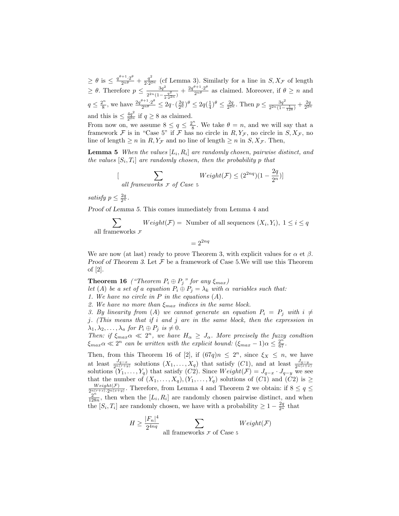$\geq \theta$  is  $\leq \frac{q^{\theta+1} \cdot 2^{\theta}}{2^{n\theta}} + \frac{q^2}{2 \cdot 2^2}$  $\frac{q}{2\cdot 2^{2n}}$  (cf Lemma 3). Similarly for a line in  $S, X_{\mathcal{F}}$  of length  $\geq \theta$ . Therefore  $p \leq \frac{3q^2}{2p^2}$  $\sqrt{2^{2n}(1-\frac{q^2}{2\cdot 2^{2n}})}$  $+\frac{2q^{\theta+1}\cdot 2^{\theta}}{2^{n\theta}}$  as claimed. Moreover, if  $\theta \geq n$  and  $q \leq \frac{2^n}{8}$  $\frac{1}{8}$ , we have  $\frac{2q^{\theta+1}\cdot 2^{\theta}}{2^{n\theta}} \leq 2q \cdot \left(\frac{2q}{2^n}\right)^{\theta} \leq 2q\left(\frac{1}{4}\right)^{\theta} \leq \frac{2q}{2^{2n}}$ . Then  $p \leq \frac{3q^2}{2^{2n}(1-\theta)}$  $\frac{3q^2}{2^{2n}(1-\frac{1}{128})}+\frac{2q}{2^{2n}}$ and this is  $\leq \frac{4q^2}{2^{2n}}$  $\frac{4q}{2^{2n}}$  if  $q \ge 8$  as claimed.

From now on, we assume  $8 \le q \le \frac{2^n}{8}$  $\frac{\partial^n}{\partial s}$ . We take  $\theta = n$ , and we will say that a framework F is in "Case 5" if F has no circle in  $R, Y_{\mathcal{F}}$ , no circle in  $S, X_{\mathcal{F}}$ , no line of length  $\geq n$  in  $R, Y_{\mathcal{F}}$  and no line of length  $\geq n$  in  $S, X_{\mathcal{F}}$ . Then,

**Lemma 5** When the values  $[L_i, R_i]$  are randomly chosen, pairwise distinct, and the values  $[S_i, T_i]$  are randomly chosen, then the probability p that

$$
[\sum_{all\; frameworks\; \mathcal{F}\; of\; Case\; 5}Weight(\mathcal{F}) \leq (2^{2nq})(1-\frac{2q}{2^n})]
$$

satisfy  $p \leq \frac{2q}{2^n}$ .

Proof of Lemma 5. This comes immediately from Lemma 4 and

 $\sum$ all frameworks  $\mathcal F$  $Weight(\mathcal{F}) =$  Number of all sequences  $(X_i, Y_i), 1 \leq i \leq q$ 

$$
=2^{2nq}
$$

We are now (at last) ready to prove Theorem 3, with explicit values for  $\alpha$  et  $\beta$ . Proof of Theorem 3. Let  $\mathcal F$  be a framework of Case 5. We will use this Theorem of [2].

**Theorem 16** ("Theorem  $P_i \oplus P_j$ " for any  $\xi_{max}$ )

let (A) be a set of a equation  $P_i \oplus P_j = \lambda_k$  with  $\alpha$  variables such that:

1. We have no circle in  $P$  in the equations  $(A)$ .

2. We have no more than  $\xi_{max}$  indices in the same block.

3. By linearity from (A) we cannot generate an equation  $P_i = P_j$  with  $i \neq j$ 

j. (This means that if i and j are in the same block, then the expression in  $\lambda_1, \lambda_2, \ldots, \lambda_a$  for  $P_i \oplus P_j$  is  $\neq 0$ .

Then: if  $\xi_{max}\alpha \ll 2^n$ , we have  $H_{\alpha} \geq J_{\alpha}$ . More precisely the fuzzy condtion  $\xi_{max}\alpha \ll 2^n$  can be written with the explicit bound:  $(\xi_{max} - 1)\alpha \leq \frac{2^{n^2}}{67}$ .

Then, from this Theorem 16 of [2], if  $(67q)n \leq 2^n$ , since  $\xi_X \leq n$ , we have at least  $\frac{J_{q-x}}{2^{n(r+y)}}$  solutions  $(X_1, \ldots, X_q)$  that satisfy  $(C1)$ , and at least  $\frac{J_{q-y}}{2^{n(s+x)}}$  solutions  $(Y_1, \ldots, Y_q)$  that satisfy  $(C2)$ . Since  $Weight(\mathcal{F}) = J_{q-x} \cdot J_{q-y}$  we see that the number of  $(X_1, \ldots, X_q), (Y_1, \ldots, Y_q)$  solutions of  $(C1)$  and  $(C2)$  is  $\geq$  $Weight(F)$  $\frac{Weight(1)}{2^{n(r+s)} \cdot 2^{n(x+y)}}$ . Therefore, from Lemma 4 and Theorem 2 we obtain: if  $8 \leq q \leq$  $2^n$  $\frac{2^n}{128n}$ , then when the  $[L_i, R_i]$  are randomly chosen pairwise distinct, and when the  $[S_i, T_i]$  are randomly chosen, we have with a probability  $\geq 1 - \frac{2q}{2^n}$  that

$$
H \ge \frac{|F_n|^4}{2^{4nq}} \sum_{\text{all frameworks } \mathcal{F} \text{ of Case 5}} Weight(\mathcal{F})
$$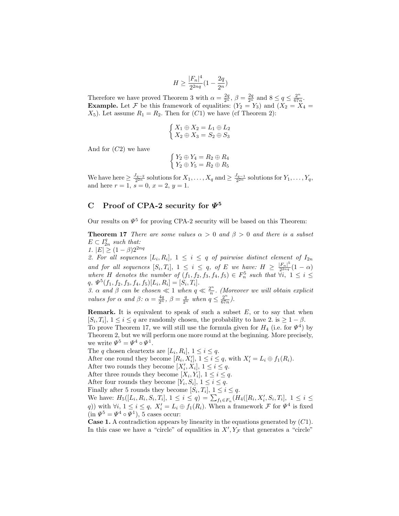$$
H \ge \frac{|F_n|^4}{2^{2nq}}(1 - \frac{2q}{2^n})
$$

Therefore we have proved Theorem 3 with  $\alpha = \frac{2q}{2^n}$ ,  $\beta = \frac{2q}{2^n}$  and  $8 \le q \le \frac{2^n}{67r}$  $rac{2^n}{67n}$ . **Example.** Let F be this framework of equalities:  $(Y_2 = Y_3)$  and  $(X_2 = X_4 =$  $X_5$ ). Let assume  $R_1 = R_2$ . Then for  $(C1)$  we have (cf Theorem 2):

$$
\begin{cases}\nX_1 \oplus X_2 = L_1 \oplus L_2 \\
X_2 \oplus X_3 = S_2 \oplus S_3\n\end{cases}
$$

And for  $(C2)$  we have

$$
\begin{cases}\nY_2 \oplus Y_4 = R_2 \oplus R_4 \\
Y_2 \oplus Y_5 = R_2 \oplus R_5\n\end{cases}
$$

We have here  $\geq \frac{J_{q-2}}{2^{2n}}$  solutions for  $X_1, \ldots, X_q$  and  $\geq \frac{J_{q-1}}{2^{2n}}$  solutions for  $Y_1, \ldots, Y_q$ , and here  $r = 1$ ,  $s = 0$ ,  $x = 2$ ,  $y = 1$ .

## C Proof of CPA-2 security for  $\Psi^5$

Our results on  $\Psi^5$  for proving CPA-2 security will be based on this Theorem:

**Theorem 17** There are some values  $\alpha > 0$  and  $\beta > 0$  and there is a subset  $E \subset I_{2n}^q$  such that:

1.  $|E| \geq (1 - \beta)2^{2nq}$ 

2. For all sequences  $[L_i, R_i]$ ,  $1 \leq i \leq q$  of pairwise distinct element of  $I_{2n}$ and for all sequences  $[S_i, T_i]$ ,  $1 \leq i \leq q$ , of E we have:  $H \geq \frac{|F_n|^5}{2^{2nq}}$  $\frac{|F_n|^2}{2^{2nq}}(1-\alpha)$ where H denotes the number of  $(f_1, f_2, f_3, f_4, f_5) \in F_n^5$  such that  $\overline{\forall}i, 1 \leq i \leq$  $q, \Psi^5(f_1, f_2, f_3, f_4, f_5)[L_i, R_i] = [S_i, T_i].$ 

3.  $\alpha$  and  $\beta$  can be chosen  $\ll 1$  when  $q \ll \frac{2^n}{n}$  $\frac{2^n}{n}$ . (Moreover we will obtain explicit values for  $\alpha$  and  $\beta$ :  $\alpha = \frac{4q}{2^n}$ ,  $\beta = \frac{q}{2^n}$  when  $q \leq \frac{2^n}{67q}$  $\frac{2^{n}}{67n}$ ).

**Remark.** It is equivalent to speak of such a subset  $E$ , or to say that when  $[S_i, T_i], 1 \le i \le q$  are randomly chosen, the probability to have 2. is  $\ge 1 - \beta$ . To prove Theorem 17, we will still use the formula given for  $H_4$  (i.e. for  $\Psi^4$ ) by Theorem 2, but we will perform one more round at the beginning. More precisely, we write  $\Psi^5 = \Psi^4 \circ \Psi^1$ .

The q chosen cleartexts are  $[L_i, R_i], 1 \leq i \leq q$ . After one round they become  $[R_i, X'_i], 1 \leq i \leq q$ , with  $X'_i = L_i \oplus f_1(R_i)$ . After two rounds they become  $[X'_i, X_i]$ ,  $1 \leq i \leq q$ . After three rounds they become  $[X_i, Y_i], 1 \leq i \leq q$ . After four rounds they become  $[Y_i, S_i], 1 \leq i \leq q$ . Finally after 5 rounds they become  $[S_i, T_i]$ ,  $1 \leq i \leq q$ . We have:  $H_5([L_i, R_i, S_i, T_i], 1 \leq i \leq q) = \sum_{f_1 \in F_n} (H_4([R_i, X'_i, S_i, T_i], 1 \leq i \leq q))$ q)) with  $\forall i, 1 \leq i \leq q$ ,  $X'_i = L_i \oplus f_1(R_i)$ . When a framework  $\mathcal F$  for  $\Psi^4$  is fixed  $(in \Psi^5 = \Psi^4 \circ \Psi^1), 5 \text{ cases occur:}$ 

**Case 1.** A contradiction appears by linearity in the equations generated by  $(C1)$ . In this case we have a "circle" of equalities in  $X', Y_{\mathcal{F}}$  that generates a "circle"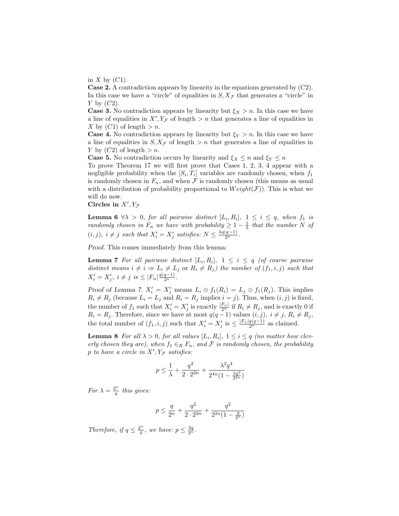in X by  $(C1)$ .

**Case 2.** A contradiction appears by linearity in the equations generated by  $(C2)$ . In this case we have a "circle" of equalities in  $S, X_{\mathcal{F}}$  that generates a "circle" in Y by  $(C2)$ .

**Case 3.** No contradiction appears by linearity but  $\xi_X > n$ . In this case we have a line of equalities in  $X', Y_{\mathcal{F}}$  of length  $>n$  that generates a line of equalities in X by  $(C1)$  of length  $>n$ .

**Case 4.** No contradiction appears by linearity but  $\xi_Y > n$ . In this case we have a line of equalities in  $S, X_{\mathcal{F}}$  of length  $>n$  that generates a line of equalities in Y by  $(C2)$  of length  $>n$ .

**Case 5.** No contradiction occurs by linearity and  $\xi_X \le n$  and  $\xi_Y \le n$ 

To prove Theorem 17 we will first prove that Cases 1, 2, 3, 4 appear with a negligible probability when the  $[S_i, T_i]$  variables are randomly chosen, when  $f_1$ is randomly chosen in  $F_n$ , and when  $\mathcal F$  is randomly chosen (this means as usual with a distribution of probability proportional to  $Weight(\mathcal{F})$ . This is what we will do now.

Circles in  $X', Y_{\mathcal{F}}$ 

**Lemma 6**  $\forall \lambda > 0$ , for all pairwise distinct  $[L_i, R_i]$ ,  $1 \leq i \leq q$ , when  $f_1$  is randomly chosen in  $F_n$  we have with probability  $\geq 1-\frac{1}{\lambda}$  that the number N of  $(i, j), i \neq j$  such that  $X'_i = X'_j$  satisfies:  $N \leq \frac{\lambda q(q-1)}{2^n}$ .

Proof. This comes immediately from this lemma:

**Lemma 7** For all pairwise distinct  $[L_i, R_i]$ ,  $1 \leq i \leq q$  (of course pairwise distinct means  $i \neq i \Rightarrow L_i \neq L_j$  or  $R_i \neq R_j$ ) the number of  $(f_1, i, j)$  such that  $X'_i = X'_j, \ i \neq j \ is \leq |F_n|\frac{q(q-1)}{2^n}.$ 

Proof of Lemma 7.  $X'_i = X'_j$  means  $L_i \oplus f_1(R_i) = L_j \oplus f_1(R_j)$ . This implies  $R_i \neq R_j$  (because  $L_i = L_j$  and  $R_i = R_j$  implies  $i = j$ ). Thus, when  $(i, j)$  is fixed, the number of  $f_1$  such that  $X'_i = X'_j$  is exactly  $\frac{|F_n|}{2^n}$  if  $R_i \neq R_j$ , and is exactly 0 if  $R_i = R_j$ . Therefore, since we have at most  $q(q-1)$  values  $(i, j)$ ,  $i \neq j$ ,  $R_i \neq R_j$ , the total number of  $(f_1, i, j)$  such that  $X'_i = X'_j$  is  $\leq \frac{|F_n|q(q-1)}{2^n}$  as claimed.

**Lemma 8** For all  $\lambda > 0$ , for all values  $[L_i, R_i]$ ,  $1 \leq i \leq q$  (no matter how cleverly chosen they are), when  $f_1 \in_R F_n$ , and  $\mathcal F$  is randomly chosen, the probability p to have a circle in  $X', Y_{\mathcal{F}}$  satisfies:

$$
p \leq \frac{1}{\lambda} + \frac{q^2}{2 \cdot 2^{2n}} + \frac{\lambda^2 q^4}{2^{4n} (1 - \frac{\lambda q^2}{2^{2n}})}
$$

For  $\lambda = \frac{2^n}{a}$  $\frac{q^n}{q}$  this gives:

$$
p \le \frac{q}{2^n} + \frac{q^2}{2 \cdot 2^{2n}} + \frac{q^2}{2^{2n}(1 - \frac{q}{2^n})}
$$

Therefore, if  $q \leq \frac{2^n}{4}$  $\frac{2^n}{4}$ , we have:  $p \leq \frac{2q}{2^n}$ .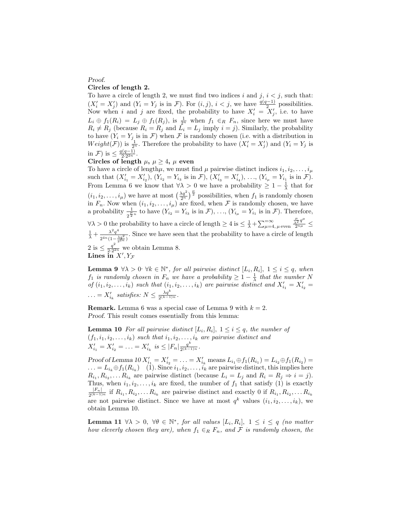## Circles of length 2.

To have a circle of length 2, we must find two indices i and  $j, i < j$ , such that:  $(X'_i = X'_j)$  and  $(Y_i = Y_j$  is in  $\mathcal{F})$ . For  $(i, j)$ ,  $i < j$ , we have  $\frac{q(q-1)}{2}$  possibilities. Now when i and j are fixed, the probability to have  $X_i' = X_j'$ , i.e. to have  $L_i \oplus f_1(R_i) = L_j \oplus f_1(R_j)$ , is  $\frac{1}{2^n}$  when  $f_1 \in_R F_n$ , since here we must have  $R_i \neq R_j$  (because  $R_i = R_j$  and  $\tilde{L_i} = L_j$  imply  $i = j$ ). Similarly, the probability to have  $(Y_i = Y_j \text{ is in } \mathcal{F})$  when  $\mathcal F$  is randomly chosen (i.e. with a distribution in  $Weight(\mathcal{F})$  is  $\frac{1}{2^n}$ . Therefore the probability to have  $(X'_i = X'_j)$  and  $(Y_i = Y_j)$  is in F) is  $\leq \frac{q(q-1)}{2 \cdot 2^{2n}}$  $rac{(q-1)}{2 \cdot 2^{2n}}$ .

## Circles of length  $\mu$ ,  $\mu \geq 4$ ,  $\mu$  even

To have a circle of length $\mu$ , we must find  $\mu$  pairwise distinct indices  $i_1, i_2, \ldots, i_\mu$ such that  $(X'_{i_1} = X'_{i_2}), (Y_{i_2} = Y_{i_3} \text{ is in } \mathcal{F}), (X'_{i_3} = X'_{i_4}), ..., (Y_{i_\mu} = Y_{i_1} \text{ is in } \mathcal{F}).$ From Lemma 6 we know that  $\forall \lambda > 0$  we have a probability  $\geq 1 - \frac{1}{\lambda}$  that for  $(i_1, i_2, \ldots, i_\mu)$  we have at most  $\left(\frac{\lambda q^2}{2^n}\right)^{\frac{\mu}{2}}$  possibilities, when  $f_1$  is randomly chosen in  $F_n$ . Now when  $(i_1, i_2, \ldots, i_\mu)$  are fixed, when  $\mathcal F$  is randomly chosen, we have a probability  $\frac{1}{2^{\frac{\mu}{2}n}}$  to have  $(Y_{i_2} = Y_{i_3} \text{ is in } \mathcal{F}), \dots, (Y_{i_\mu} = Y_{i_1} \text{ is in } \mathcal{F}).$  Therefore,  $\forall \lambda > 0$  the probability to have a circle of length  $\geq 4$  is  $\leq \frac{1}{\lambda} + \sum_{\mu=4}^{\infty}$ ,  $\mu$  even  $\frac{\frac{\mu}{\lambda^2}q^\mu}{2^{n\mu}} \leq$  $rac{1}{\lambda} + \frac{\lambda^2 q^4}{2^{4n} (1-\lambda^2)}$  $\sqrt{2^{4n}(1-\frac{\lambda q^2}{2^{2n}})}$ . Since we have seen that the probability to have a circle of length 2 is  $\leq \frac{q^2}{2 \cdot 2^2}$  $\frac{q}{2\cdot 2^{2n}}$  we obtain Lemma 8. Lines in  $X', Y_{\mathcal{F}}$ 

**Lemma 9**  $\forall \lambda > 0$ ,  $\forall k \in \mathbb{N}^*$ , for all pairwise distinct  $[L_i, R_i]$ ,  $1 \leq i \leq q$ , when  $f_1$  is randomly chosen in  $F_n$  we have a probability  $\geq 1-\frac{1}{\lambda}$  that the number N of  $(i_1, i_2, \ldots, i_k)$  such that  $(i_1, i_2, \ldots, i_k)$  are pairwise distinct and  $X'_{i_1} = X'_{i_2} =$  $\ldots = X'_{i_k}$  satisfies:  $N \leq \frac{\lambda q^k}{2^{(k-1)}}$  $\frac{\lambda q^{\cdots}}{2^{(k-1)n}}$ .

**Remark.** Lemma 6 was a special case of Lemma 9 with  $k = 2$ . Proof. This result comes essentially from this lemma:

**Lemma 10** For all pairwise distinct  $[L_i, R_i]$ ,  $1 \leq i \leq q$ , the number of  $(f_1, i_1, i_2, \ldots, i_k)$  such that  $i_1, i_2, \ldots, i_k$  are pairwise distinct and  $X'_{i_1} = X'_{i_2} = \ldots = X'_{i_k} \ \ is \leq |F_n| \frac{q^k}{2^{(k-1)}}$  $\frac{q^r}{2^{(k-1)n}}$ .

Proof of Lemma 10  $X'_{i_1} = X'_{i_2} = \ldots = X'_{i_k}$  means  $L_{i_1} \oplus f_1(R_{i_1}) = L_{i_2} \oplus f_1(R_{i_2}) =$  $\ldots = L_{i_k} \oplus f_1(R_{i_k})$  (1). Since  $i_1, i_2, \ldots, i_k$  are pairwise distinct, this implies here  $R_{i_1}, R_{i_2}, \ldots R_{i_k}$  are pairwise distinct (because  $L_i = L_j$  and  $R_i = R_j \Rightarrow i = j$ ). Thus, when  $i_1, i_2, \ldots, i_k$  are fixed, the number of  $f_1$  that satisfy (1) is exactly  $|F_n|$  $\frac{|F_n|}{2^{(k-1)n}}$  if  $R_{i_1}, R_{i_2}, \ldots R_{i_k}$  are pairwise distinct and exactly 0 if  $R_{i_1}, R_{i_2}, \ldots R_{i_k}$ are not pairwise distinct. Since we have at most  $q^k$  values  $(i_1, i_2, \ldots, i_k)$ , we obtain Lemma 10.

**Lemma 11**  $\forall \lambda > 0$ ,  $\forall \theta \in \mathbb{N}^*$ , for all values  $[L_i, R_i]$ ,  $1 \leq i \leq q$  (no matter how cleverly chosen they are), when  $f_1 \in_R F_n$ , and  $\overline{F}$  is randomly chosen, the

Proof.